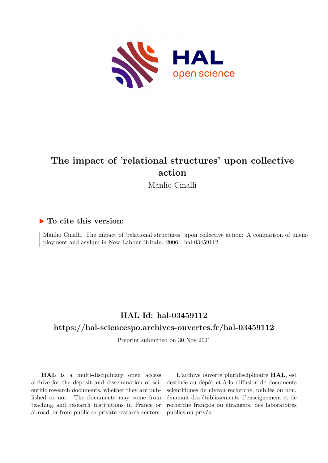

# **The impact of 'relational structures' upon collective action**

Manlio Cinalli

### **To cite this version:**

Manlio Cinalli. The impact of 'relational structures' upon collective action: A comparison of unemployment and asylum in New Labour Britain. 2006. hal-03459112

# **HAL Id: hal-03459112**

### **<https://hal-sciencespo.archives-ouvertes.fr/hal-03459112>**

Preprint submitted on 30 Nov 2021

**HAL** is a multi-disciplinary open access archive for the deposit and dissemination of scientific research documents, whether they are published or not. The documents may come from teaching and research institutions in France or abroad, or from public or private research centers.

L'archive ouverte pluridisciplinaire **HAL**, est destinée au dépôt et à la diffusion de documents scientifiques de niveau recherche, publiés ou non, émanant des établissements d'enseignement et de recherche français ou étrangers, des laboratoires publics ou privés.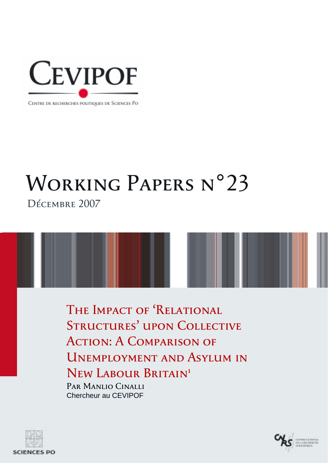

#### CENTRE DE RECHERCHES POLITIQUES DE SCIENCES PO

# WORKING PAPERS N°23 Décembre 2007

THE IMPACT OF 'RELATIONAL STRUCTURES' UPON COLLECTIVE Action: A Comparison of Unemployment and Asylum in New Labour Britain**<sup>1</sup>** Par Manlio Cinalli

Chercheur au CEVIPOF



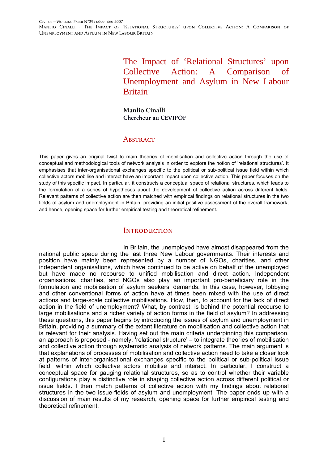> The Impact of 'Relational Structures' upon Collective Action: A Comparison of Unemployment and Asylum in New Labour Britain<sup>[1](#page-28-0)</sup>

**Manlio Cinalli Chercheur au CEVIPOF** 

#### **ABSTRACT**

This paper gives an original twist to main theories of mobilisation and collective action through the use of conceptual and methodological tools of network analysis in order to explore the notion of 'relational structures'. It emphasises that inter-organisational exchanges specific to the political or sub-political issue field within which collective actors mobilise and interact have an important impact upon collective action. This paper focuses on the study of this specific impact. In particular, it constructs a conceptual space of relational structures, which leads to the formulation of a series of hypotheses about the development of collective action across different fields. Relevant patterns of collective action are then matched with empirical findings on relational structures in the two fields of asylum and unemployment in Britain, providing an initial positive assessment of the overall framework, and hence, opening space for further empirical testing and theoretical refinement.

#### **INTRODUCTION**

In Britain, the unemployed have almost disappeared from the national public space during the last three New Labour governments. Their interests and position have mainly been represented by a number of NGOs, charities, and other independent organisations, which have continued to be active on behalf of the unemployed but have made no recourse to unified mobilisation and direct action. Independent organisations, charities, and NGOs also play an important pro-beneficiary role in the formulation and mobilisation of asylum seekers' demands. In this case, however, lobbying and other conventional forms of action have at times been mixed with the use of direct actions and large-scale collective mobilisations. How, then, to account for the lack of direct action in the field of unemployment? What, by contrast, is behind the potential recourse to large mobilisations and a richer variety of action forms in the field of asylum? In addressing these questions, this paper begins by introducing the issues of asylum and unemployment in Britain, providing a summary of the extant literature on mobilisation and collective action that is relevant for their analysis. Having set out the main criteria underpinning this comparison, an approach is proposed - namely, 'relational structure' – to integrate theories of mobilisation and collective action through systematic analysis of network patterns. The main argument is that explanations of processes of mobilisation and collective action need to take a closer look at patterns of inter-organisational exchanges specific to the political or sub-political issue field, within which collective actors mobilise and interact. In particular, I construct a conceptual space for gauging relational structures, so as to control whether their variable configurations play a distinctive role in shaping collective action across different political or issue fields. I then match patterns of collective action with my findings about relational structures in the two issue-fields of asylum and unemployment. The paper ends up with a discussion of main results of my research, opening space for further empirical testing and theoretical refinement.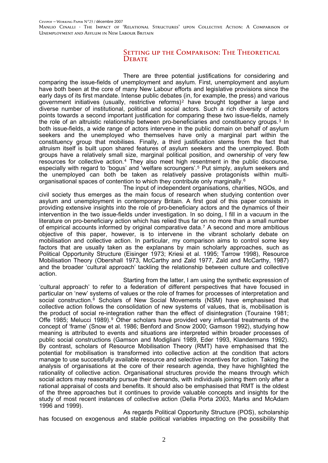#### SETTING UP THE COMPARISON: THE THEORETICAL DEBATE

There are three potential justifications for considering and comparing the issue-fields of unemployment and asylum. First, unemployment and asylum have both been at the core of many New Labour efforts and legislative provisions since the early days of its first mandate. Intense public debates (in, for example, the press) and various government initiatives (usually, restrictive reforms)[2](#page-28-1) have brought together a large and diverse number of institutional, political and social actors. Such a rich diversity of actors points towards a second important justification for comparing these two issue-fields, namely the role of an altruistic relationship between pro-beneficiaries and constituency groups.[3](#page-28-1) In both issue-fields, a wide range of actors intervene in the public domain on behalf of asylum seekers and the unemployed who themselves have only a marginal part within the constituency group that mobilises. Finally, a third justification stems from the fact that altruism itself is built upon shared features of asylum seekers and the unemployed. Both groups have a relatively small size, marginal political position, and ownership of very few resources for collective action.[4](#page-28-1) They also meet high resentment in the public discourse, especially with regard to 'bogus' and 'welfare scroungers'.[5](#page-28-1) Put simply, asylum seekers and the unemployed can both be taken as relatively passive protagonists within multiorganisational spaces of contention to which they contribute only marginally.[6](#page-28-1)

The input of independent organisations, charities, NGOs, and civil society thus emerges as the main focus of research when studying contention over asylum and unemployment in contemporary Britain. A first goal of this paper consists in providing extensive insights into the role of pro-beneficiary actors and the dynamics of their intervention in the two issue-fields under investigation. In so doing, I fill in a vacuum in the literature on pro-beneficiary action which has relied thus far on no more than a small number of empirical accounts informed by original comparative data.[7](#page-28-1) A second and more ambitious objective of this paper, however, is to intervene in the vibrant scholarly debate on mobilisation and collective action. In particular, my comparison aims to control some key factors that are usually taken as the explanans by main scholarly approaches, such as Political Opportunity Structure (Eisinger 1973; Kriesi et al. 1995; Tarrow 1998), Resource Mobilisation Theory (Obershall 1973, McCarthy and Zald 1977, Zald and McCarthy, 1987) and the broader 'cultural approach' tackling the relationship between culture and collective action.

Starting from the latter, I am using the synthetic expression of 'cultural approach' to refer to a federation of different perspectives that have focused in particular on 'new' systems of values or the role of frames for processes of interpretation and social construction.<sup>[8](#page-28-1)</sup> Scholars of New Social Movements (NSM) have emphasised that collective action follows the consolidation of new systems of values, that is, mobilisation is the product of social re-integration rather than the effect of disintegration (Touraine 1981; Offe 1[9](#page-28-1)85; Melucci 1989).<sup>9</sup> Other scholars have provided very influential treatments of the concept of 'frame' (Snow et al. 1986; Benford and Snow 2000; Gamson 1992), studying how meaning is attributed to events and situations are interpreted within broader processes of public social constructions (Gamson and Modigliani 1989, Eder 1993, Klandermans 1992). By contrast, scholars of Resource Mobilisation Theory (RMT) have emphasised that the potential for mobilisation is transformed into collective action at the condition that actors manage to use successfully available resource and selective incentives for action. Taking the analysis of organisations at the core of their research agenda, they have highlighted the rationality of collective action. Organisational structures provide the means through which social actors may reasonably pursue their demands, with individuals joining them only after a rational appraisal of costs and benefits. It should also be emphasised that RMT is the oldest of the three approaches but it continues to provide valuable concepts and insights for the study of most recent instances of collective action (Della Porta 2003, Marks and McAdam 1996 and 1999).

As regards Political Opportunity Structure (POS), scholarship has focused on exogenous and stable political variables impacting on the possibility that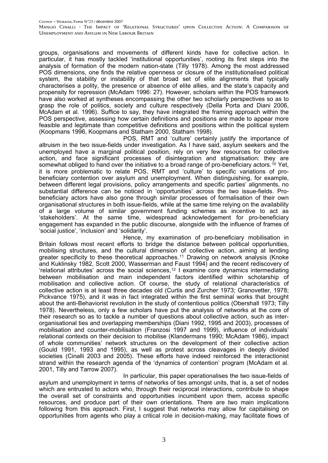groups, organisations and movements of different kinds have for collective action. In particular, it has mostly tackled 'institutional opportunities', rooting its first steps into the analysis of formation of the modern nation-state (Tilly 1978). Among the most addressed POS dimensions, one finds the relative openness or closure of the institutionalised political system, the stability or instability of that broad set of elite alignments that typically characterises a polity, the presence or absence of elite allies, and the state's capacity and propensity for repression (McAdam 1996: 27). However, scholars within the POS framework have also worked at syntheses encompassing the other two scholarly perspectives so as to grasp the role of politics, society and culture respectively (Della Porta and Diani 2006, McAdam et al. 1996). Suffice to say, they have integrated the framing approach within the POS perspective, assessing how certain definitions and positions are made to appear more feasible and legitimate than competitive definitions and positions within the political system (Koopmans 1996, Koopmans and Statham 2000, Statham 1998).

POS, RMT and 'culture' certainly justify the importance of altruism in the two issue-fields under investigation. As I have said, asylum seekers and the unemployed have a marginal political position, rely on very few resources for collective action, and face significant processes of disintegration and stigmatisation: they are somewhat obliged to hand over the initiative to a broad range of pro-beneficiary actors.<sup>[10](#page-28-1)</sup> Yet, it is more problematic to relate POS, RMT and 'culture' to specific variations of probeneficiary contention over asylum and unemployment. When distinguishing, for example, between different legal provisions, policy arrangements and specific parties' alignments, no substantial difference can be noticed in 'opportunities' across the two issue-fields. Probeneficiary actors have also gone through similar processes of formalisation of their own organisational structures in both issue-fields, while at the same time relying on the availability of a large volume of similar government funding schemes as incentive to act as 'stakeholders'. At the same time, widespread acknowledgement for pro-beneficiary engagement has expanded in the public discourse, alongside with the influence of frames of 'social justice', 'inclusion' and 'solidarity'.

Hence, my examination of pro-beneficiary mobilisation in Britain follows most recent efforts to bridge the distance between political opportunities, mobilising structures, and the cultural dimension of collective action, aiming at lending greater specificity to these theoretical approaches.[11](#page-28-1) Drawing on network analysis (Knoke and Kuklinsky 1982, Scott 2000, Wasserman and Faust 1994) and the recent rediscovery of 'relational attributes' across the social sciences,[12](#page-28-1) I examine core dynamics intermediating between mobilisation and main independent factors identified within scholarship of mobilisation and collective action. Of course, the study of relational characteristics of collective action is at least three decades old (Curtis and Zurcher 1973; Granovetter, 1978; Pickvance 1975), and it was in fact integrated within the first seminal works that brought about the anti-Behaviorist revolution in the study of contentious politics (Obershall 1973; Tilly 1978). Nevertheless, only a few scholars have put the analysis of networks at the core of their research so as to tackle a number of questions about collective action, such as interorganisational ties and overlapping memberships (Diani 1992, 1995 and 2003), processes of mobilisation and counter-mobilisation (Franzosi 1997 and 1999), influence of individuals' relational contexts on their decision to mobilise (Klandermans 1990; McAdam 1986), impact of whole communities' network structures on the development of their collective action (Gould 1991, 1993 and 1995), as well as protest across cleavages in deeply divided societies (Cinalli 2003 and 2005). These efforts have indeed reinforced the interactionist strand within the research agenda of the 'dynamics of contention' program (McAdam et al. 2001, Tilly and Tarrow 2007).

In particular, this paper operationalises the two issue-fields of asylum and unemployment in terms of networks of ties amongst units, that is, a set of nodes which are entrusted to actors who, through their reciprocal interactions, contribute to shape the overall set of constraints and opportunities incumbent upon them, access specific resources, and produce part of their own orientations. There are two main implications following from this approach. First, I suggest that networks may allow for capitalising on opportunities from agents who play a critical role in decision-making, may facilitate flows of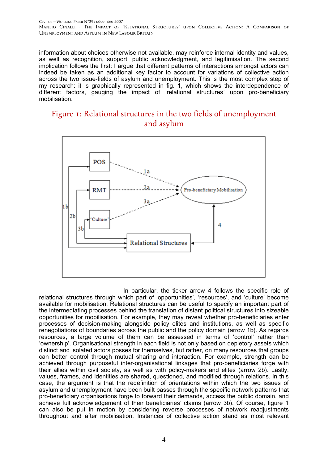information about choices otherwise not available, may reinforce internal identity and values, as well as recognition, support, public acknowledgment, and legitimisation. The second implication follows the first: I argue that different patterns of interactions amongst actors can indeed be taken as an additional key factor to account for variations of collective action across the two issue-fields of asylum and unemployment. This is the most complex step of my research: it is graphically represented in fig. 1, which shows the interdependence of different factors, gauging the impact of 'relational structures' upon pro-beneficiary mobilisation.

### Figure 1: Relational structures in the two fields of unemployment and asylum



In particular, the ticker arrow 4 follows the specific role of relational structures through which part of 'opportunities', 'resources', and 'culture' become available for mobilisation. Relational structures can be useful to specify an important part of the intermediating processes behind the translation of distant political structures into sizeable opportunities for mobilisation. For example, they may reveal whether pro-beneficiaries enter processes of decision-making alongside policy elites and institutions, as well as specific renegotiations of boundaries across the public and the policy domain (arrow 1b). As regards resources, a large volume of them can be assessed in terms of 'control' rather than 'ownership'. Organisational strength in each field is not only based on depletory assets which distinct and isolated actors posses for themselves, but rather, on many resources that groups can better control through mutual sharing and interaction. For example, strength can be achieved through purposeful inter-organisational linkages that pro-beneficiaries forge with their allies within civil society, as well as with policy-makers and elites (arrow 2b). Lastly, values, frames, and identities are shared, questioned, and modified through relations. In this case, the argument is that the redefinition of orientations within which the two issues of asylum and unemployment have been built passes through the specific network patterns that pro-beneficiary organisations forge to forward their demands, access the public domain, and achieve full acknowledgement of their beneficiaries' claims (arrow 3b). Of course, figure 1 can also be put in motion by considering reverse processes of network readjustments throughout and after mobilisation. Instances of collective action stand as most relevant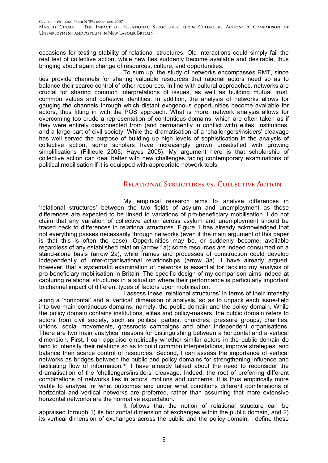occasions for testing stability of relational structures. Old interactions could simply fail the real test of collective action, while new ties suddenly become available and desirable, thus bringing about again change of resources, culture, and opportunities.

To sum up, the study of networks encompasses RMT, since ties provide channels for sharing valuable resources that rational actors need so as to balance their scarce control of other resources. In line with cultural approaches, networks are crucial for sharing common interpretations of issues, as well as building mutual trust, common values and cohesive identities. In addition, the analysis of networks allows for gauging the channels through which distant exogenous opportunities become available for actors, thus fitting in with the POS approach. What is more, network analysis allows for overcoming too crude a representation of contentious domains, which are often taken as if they were entirely disconnected from (and permanently in conflict with) elites, institutions, and a large part of civil society. While the dramatisation of a 'challengers/insiders' cleavage has well served the purpose of building up high levels of sophistication in the analysis of collective action, some scholars have increasingly grown unsatisfied with growing simplifications (Fillieule 2005; Hayes 2005). My argument here is that scholarship of collective action can deal better with new challenges facing contemporary examinations of political mobilisation if it is equipped with appropriate network tools.

### Relational Structures vs. Collective Action

My empirical research aims to analyse differences in 'relational structures' between the two fields of asylum and unemployment as these differences are expected to be linked to variations of pro-beneficiary mobilisation. I do not claim that any variation of collective action across asylum and unemployment should be traced back to differences in relational structures. Figure 1 has already acknowledged that not everything passes necessarily through networks (even if the main argument of this paper is that this is often the case). Opportunities may be, or suddenly become, available regardless of any established relation (arrow 1a); some resources are indeed consumed on a stand-alone basis (arrow 2a), while frames and processes of construction could develop independently of inter-organisational relationships (arrow 3a). I have already argued, however, that a systematic examination of networks is essential for tackling my analysis of pro-beneficiary mobilisation in Britain. The specific design of my comparison aims indeed at capturing relational structures in a situation where their performance is particularly important to channel impact of different types of factors upon mobilisation.

I assess these 'relational structures' in terms of their intensity along a 'horizontal' and a 'vertical' dimension of analysis, so as to unpack each issue-field into two main continuous domains, namely, the public domain and the policy domain. While the policy domain contains institutions, elites and policy-makers, the public domain refers to actors from civil society, such as political parties, churches, pressure groups, charities, unions, social movements, grassroots campaigns and other independent organisations. There are two main analytical reasons for distinguishing between a horizontal and a vertical dimension. First, I can appraise empirically whether similar actors in the public domain do tend to intensify their relations so as to build common interpretations, improve strategies, and balance their scarce control of resources. Second, I can assess the importance of vertical networks as bridges between the public and policy domains for strengthening influence and facilitating flow of information.[13](#page-28-1) I have already talked about the need to reconsider the dramatisation of the 'challengers/insiders' cleavage. Indeed, the root of preferring different combinations of networks lies in actors' motions and concerns. It is thus empirically more viable to analyse for what outcomes and under what conditions different combinations of horizontal and vertical networks are preferred, rather than assuming that more extensive horizontal networks are the normative expectation.

It follows that the notion of relational structure can be appraised through 1) its horizontal dimension of exchanges within the public domain, and 2) its vertical dimension of exchanges across the public and the policy domain. I define these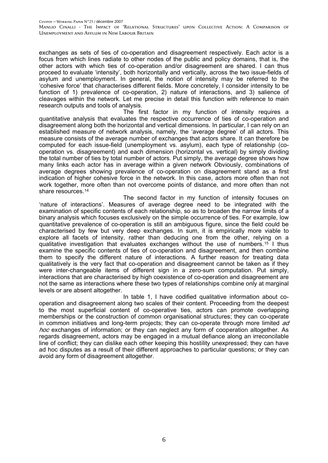exchanges as sets of ties of co-operation and disagreement respectively. Each actor is a focus from which lines radiate to other nodes of the public and policy domains, that is, the other actors with which ties of co-operation and/or disagreement are shared. I can thus proceed to evaluate 'intensity', both horizontally and vertically, across the two issue-fields of asylum and unemployment. In general, the notion of intensity may be referred to the 'cohesive force' that characterises different fields. More concretely, I consider intensity to be function of 1) prevalence of co-operation, 2) nature of interactions, and 3) salience of cleavages within the network. Let me precise in detail this function with reference to main research outputs and tools of analysis.

The first factor in my function of intensity requires a quantitative analysis that evaluates the respective occurrence of ties of co-operation and disagreement along both the horizontal and vertical dimensions. In particular, I can rely on an established measure of network analysis, namely, the 'average degree' of all actors. This measure consists of the average number of exchanges that actors share. It can therefore be computed for each issue-field (unemployment vs. asylum), each type of relationship (cooperation vs. disagreement) and each dimension (horizontal vs. vertical) by simply dividing the total number of ties by total number of actors. Put simply, the average degree shows how many links each actor has in average within a given network Obviously, combinations of average degrees showing prevalence of co-operation on disagreement stand as a first indication of higher cohesive force in the network. In this case, actors more often than not work together, more often than not overcome points of distance, and more often than not share resources.<sup>[14](#page-28-1)</sup>

The second factor in my function of intensity focuses on 'nature of interactions'. Measures of average degree need to be integrated with the examination of specific contents of each relationship, so as to broaden the narrow limits of a binary analysis which focuses exclusively on the simple occurrence of ties. For example, low quantitative prevalence of co-operation is still an ambiguous figure, since the field could be characterised by few but very deep exchanges. In sum, it is empirically more viable to explore all facets of intensity, rather than deducing one from the other, relying on a qualitative investigation that evaluates exchanges without the use of numbers.<sup>[15](#page-28-1)</sup> I thus examine the specific contents of ties of co-operation and disagreement, and then combine them to specify the different nature of interactions. A further reason for treating data qualitatively is the very fact that co-operation and disagreement cannot be taken as if they were inter-changeable items of different sign in a zero-sum computation. Put simply, interactions that are characterised by high coexistence of co-operation and disagreement are not the same as interactions where these two types of relationships combine only at marginal levels or are absent altogether.

In table 1, I have codified qualitative information about cooperation and disagreement along two scales of their content. Proceeding from the deepest to the most superficial content of co-operative ties, actors can promote overlapping memberships or the construction of common organisational structures; they can co-operate in common initiatives and long-term projects; they can co-operate through more limited  $ad$ hoc exchanges of information; or they can neglect any form of cooperation altogether. As regards disagreement, actors may be engaged in a mutual defiance along an irreconcilable line of conflict; they can dislike each other keeping this hostility unexpressed; they can have ad hoc disputes as a result of their different approaches to particular questions; or they can avoid any form of disagreement altogether.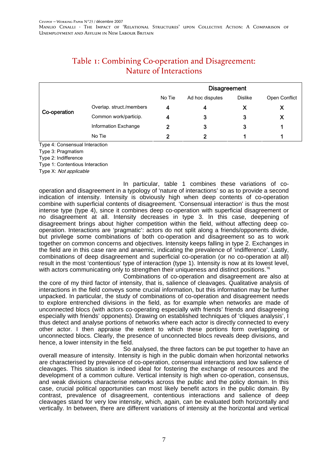|              |                          |        | <b>Disagreement</b> |                |               |
|--------------|--------------------------|--------|---------------------|----------------|---------------|
|              |                          | No Tie | Ad hoc disputes     | <b>Dislike</b> | Open Conflict |
|              | Overlap. struct./members | 4      |                     |                |               |
| Co-operation | Common work/particip.    | 4      | 3                   | 3              |               |
|              | Information Exchange     | כי     | 3                   | 3              |               |
|              | No Tie                   | 2      |                     |                |               |

# Table 1: Combining Co-operation and Disagreement: Nature of Interactions

Type 4: Consensual Interaction

Type 3: Pragmatism

Type 2: Indifference

Type 1: Contentious Interaction

Type X: Not applicable

In particular, table 1 combines these variations of cooperation and disagreement in a typology of 'nature of interactions' so as to provide a second indication of intensity. Intensity is obviously high when deep contents of co-operation combine with superficial contents of disagreement. 'Consensual interaction' is thus the most intense type (type 4), since it combines deep co-operation with superficial disagreement or no disagreement at all. Intensity decreases in type 3. In this case, deepening of disagreement brings about higher competition within the field, without affecting deep cooperation. Interactions are 'pragmatic': actors do not split along a friends/opponents divide, but privilege some combinations of both co-operation and disagreement so as to work together on common concerns and objectives. Intensity keeps falling in type 2. Exchanges in the field are in this case rare and anaemic, indicating the prevalence of 'indifference'. Lastly, combinations of deep disagreement and superficial co-operation (or no co-operation at all) result in the most 'contentious' type of interaction (type 1). Intensity is now at its lowest level, with actors communicating only to strengthen their uniqueness and distinct positions.<sup>[16](#page-28-1)</sup>

Combinations of co-operation and disagreement are also at the core of my third factor of intensity, that is, salience of cleavages. Qualitative analysis of interactions in the field conveys some crucial information, but this information may be further unpacked. In particular, the study of combinations of co-operation and disagreement needs to explore entrenched divisions in the field, as for example when networks are made of unconnected blocs (with actors co-operating especially with friends' friends and disagreeing especially with friends' opponents). Drawing on established techniques of 'cliques analysis', I thus detect and analyse portions of networks where each actor is directly connected to every other actor. I then appraise the extent to which these portions form overlapping or unconnected blocs. Clearly, the presence of unconnected blocs reveals deep divisions, and hence, a lower intensity in the field.

So analysed, the three factors can be put together to have an overall measure of intensity. Intensity is high in the public domain when horizontal networks are characterised by prevalence of co-operation, consensual interactions and low salience of cleavages. This situation is indeed ideal for fostering the exchange of resources and the development of a common culture. Vertical intensity is high when co-operation, consensus, and weak divisions characterise networks across the public and the policy domain. In this case, crucial political opportunities can most likely benefit actors in the public domain. By contrast, prevalence of disagreement, contentious interactions and salience of deep cleavages stand for very low intensity, which, again, can be evaluated both horizontally and vertically. In between, there are different variations of intensity at the horizontal and vertical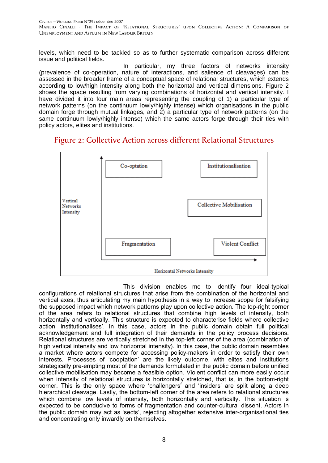levels, which need to be tackled so as to further systematic comparison across different issue and political fields.

In particular, my three factors of networks intensity (prevalence of co-operation, nature of interactions, and salience of cleavages) can be assessed in the broader frame of a conceptual space of relational structures, which extends according to low/high intensity along both the horizontal and vertical dimensions. Figure 2 shows the space resulting from varying combinations of horizontal and vertical intensity. I have divided it into four main areas representing the coupling of 1) a particular type of network patterns (on the continuum lowly/highly intense) which organisations in the public domain forge through mutual linkages, and 2) a particular type of network patterns (on the same continuum lowly/highly intense) which the same actors forge through their ties with policy actors, elites and institutions.

### Figure 2: Collective Action across different Relational Structures



This division enables me to identify four ideal-typical configurations of relational structures that arise from the combination of the horizontal and vertical axes, thus articulating my main hypothesis in a way to increase scope for falsifying the supposed impact which network patterns play upon collective action. The top-right corner of the area refers to relational structures that combine high levels of intensity, both horizontally and vertically. This structure is expected to characterise fields where collective action 'institutionalises'. In this case, actors in the public domain obtain full political acknowledgement and full integration of their demands in the policy process decisions. Relational structures are vertically stretched in the top-left corner of the area (combination of high vertical intensity and low horizontal intensity). In this case, the public domain resembles a market where actors compete for accessing policy-makers in order to satisfy their own interests. Processes of 'cooptation' are the likely outcome, with elites and institutions strategically pre-empting most of the demands formulated in the public domain before unified collective mobilisation may become a feasible option. Violent conflict can more easily occur when intensity of relational structures is horizontally stretched, that is, in the bottom-right corner. This is the only space where 'challengers' and 'insiders' are split along a deep hierarchical cleavage. Lastly, the bottom-left corner of the area refers to relational structures which combine low levels of intensity, both horizontally and vertically. This situation is expected to be conducive to forms of fragmentation and counter-cultural dissent. Actors in the public domain may act as 'sects', rejecting altogether extensive inter-organisational ties and concentrating only inwardly on themselves.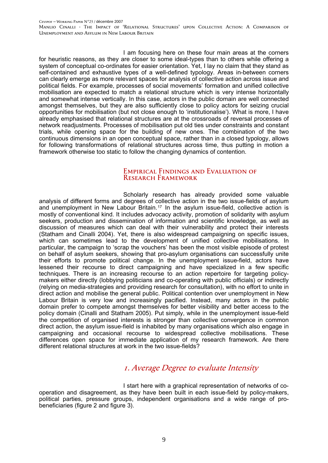I am focusing here on these four main areas at the corners for heuristic reasons, as they are closer to some ideal-types than to others while offering a system of conceptual co-ordinates for easier orientation. Yet, I lay no claim that they stand as self-contained and exhaustive types of a well-defined typology. Areas in-between corners can clearly emerge as more relevant spaces for analysis of collective action across issue and political fields. For example, processes of social movements' formation and unified collective mobilisation are expected to match a relational structure which is very intense horizontally and somewhat intense vertically. In this case, actors in the public domain are well connected amongst themselves, but they are also sufficiently close to policy actors for seizing crucial opportunities for mobilisation (but not close enough to 'institutionalise'). What is more, I have already emphasised that relational structures are at the crossroads of reversal processes of network readjustments. Processes of mobilisation put old ties under constraints and constant trials, while opening space for the building of new ones. The combination of the two continuous dimensions in an open conceptual space, rather than in a closed typology, allows for following transformations of relational structures across time, thus putting in motion a framework otherwise too static to follow the changing dynamics of contention.

#### Empirical Findings and Evaluation of RESEARCH FRAMEWORK

Scholarly research has already provided some valuable analysis of different forms and degrees of collective action in the two issue-fields of asylum and unemployment in New Labour Britain.[17](#page-28-1) In the asylum issue-field, collective action is mostly of conventional kind. It includes advocacy activity, promotion of solidarity with asylum seekers, production and dissemination of information and scientific knowledge, as well as discussion of measures which can deal with their vulnerability and protect their interests (Statham and Cinalli 2004). Yet, there is also widespread campaigning on specific issues, which can sometimes lead to the development of unified collective mobilisations. In particular, the campaign to 'scrap the vouchers' has been the most visible episode of protest on behalf of asylum seekers, showing that pro-asylum organisations can successfully unite their efforts to promote political change. In the unemployment issue-field, actors have lessened their recourse to direct campaigning and have specialized in a few specific techniques. There is an increasing recourse to an action repertoire for targeting policymakers either directly (lobbying politicians and co-operating with public officials) or indirectly (relying on media-strategies and providing research for consultation), with no effort to unite in direct action and mobilise the general public. Political contention over unemployment in New Labour Britain is very low and increasingly pacified. Instead, many actors in the public domain prefer to compete amongst themselves for better visibility and better access to the policy domain (Cinalli and Statham 2005). Put simply, while in the unemployment issue-field the competition of organised interests is stronger than collective convergence in common direct action, the asylum issue-field is inhabited by many organisations which also engage in campaigning and occasional recourse to widespread collective mobilisations. These differences open space for immediate application of my research framework. Are there different relational structures at work in the two issue-fields?

# 1. Average Degree to evaluate Intensity

I start here with a graphical representation of networks of cooperation and disagreement, as they have been built in each issue-field by policy-makers, political parties, pressure groups, independent organisations and a wide range of probeneficiaries (figure 2 and figure 3).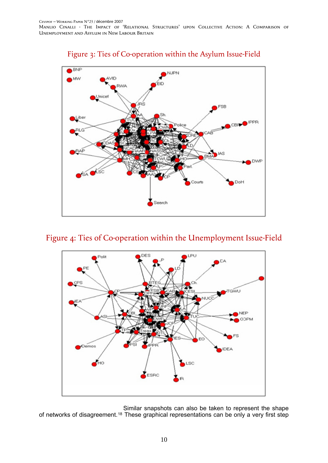

# Figure 3: Ties of Co-operation within the Asylum Issue-Field

# Figure 4: Ties of Co-operation within the Unemployment Issue-Field



Similar snapshots can also be taken to represent the shape of networks of disagreement.[18](#page-28-1) These graphical representations can be only a very first step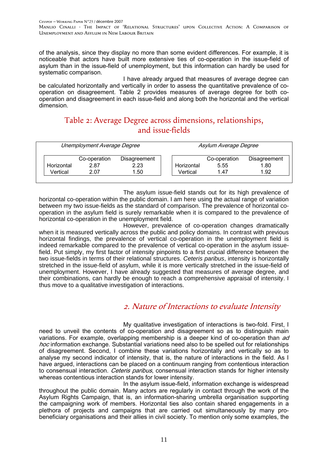of the analysis, since they display no more than some evident differences. For example, it is noticeable that actors have built more extensive ties of co-operation in the issue-field of asylum than in the issue-field of unemployment, but this information can hardly be used for systematic comparison.

I have already argued that measures of average degree can be calculated horizontally and vertically in order to assess the quantitative prevalence of cooperation on disagreement. Table 2 provides measures of average degree for both cooperation and disagreement in each issue-field and along both the horizontal and the vertical dimension.

# Table 2: Average Degree across dimensions, relationships, and issue-fields

|            | Unemployment Average Degree |              |            | Asylum Average Degree |              |
|------------|-----------------------------|--------------|------------|-----------------------|--------------|
|            | Co-operation                | Disagreement |            | Co-operation          | Disagreement |
| Horizontal | 2.87                        | 2.23         | Horizontal | 5.55                  | 1.80         |
| Vertical   | 2.07                        | .50          | Vertical   | 1.47                  | 1.92         |

The asylum issue-field stands out for its high prevalence of horizontal co-operation within the public domain. I am here using the actual range of variation between my two issue-fields as the standard of comparison. The prevalence of horizontal cooperation in the asylum field is surely remarkable when it is compared to the prevalence of horizontal co-operation in the unemployment field.

However, prevalence of co-operation changes dramatically when it is measured vertically across the public and policy domains. In contrast with previous horizontal findings, the prevalence of vertical co-operation in the unemployment field is indeed remarkable compared to the prevalence of vertical co-operation in the asylum issuefield. Put simply, my first factor of intensity pinpoints to a first crucial difference between the two issue-fields in terms of their relational structures. *Ceteris paribus*, intensity is horizontally stretched in the issue-field of asylum, while it is more vertically stretched in the issue-field of unemployment. However, I have already suggested that measures of average degree, and their combinations, can hardly be enough to reach a comprehensive appraisal of intensity. I thus move to a qualitative investigation of interactions.

# 2. Nature of Interactions to evaluate Intensity

My qualitative investigation of interactions is two-fold. First, I need to unveil the contents of co-operation and disagreement so as to distinguish main variations. For example, overlapping membership is a deeper kind of co-operation than  $ad$ hoc information exchange. Substantial variations need also to be spelled out for relationships of disagreement. Second, I combine these variations horizontally and vertically so as to analyse my second indicator of intensity, that is, the nature of interactions in the field. As I have argued, interactions can be placed on a continuum ranging from contentious interaction to consensual interaction. Ceteris paribus, consensual interaction stands for higher intensity whereas contentious interaction stands for lower intensity.

In the asylum issue-field, information exchange is widespread throughout the public domain. Many actors are regularly in contact through the work of the Asylum Rights Campaign, that is, an information-sharing umbrella organisation supporting the campaigning work of members. Horizontal ties also contain shared engagements in a plethora of projects and campaigns that are carried out simultaneously by many probeneficiary organisations and their allies in civil society. To mention only some examples, the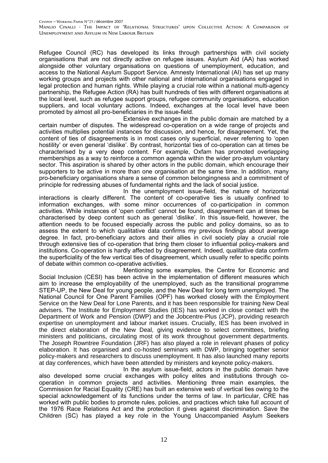Refugee Council (RC) has developed its links through partnerships with civil society organisations that are not directly active on refugee issues. Asylum Aid (AA) has worked alongside other voluntary organisations on questions of unemployment, education, and access to the National Asylum Support Service. Amnesty International (AI) has set up many working groups and projects with other national and international organisations engaged in legal protection and human rights. While playing a crucial role within a national multi-agency partnership, the Refugee Action (RA) has built hundreds of ties with different organisations at the local level, such as refugee support groups, refugee community organisations, education suppliers, and local voluntary actions. Indeed, exchanges at the local level have been promoted by almost all pro-beneficiaries in the issue-field.

Extensive exchanges in the public domain are matched by a certain number of disputes. The widespread co-operation on a wide range of projects and activities multiplies potential instances for discussion, and hence, for disagreement. Yet, the content of ties of disagreements is in most cases only superficial, never referring to 'open hostility' or even general 'dislike'. By contrast, horizontal ties of co-operation can at times be characterised by a very deep content. For example, Oxfam has promoted overlapping memberships as a way to reinforce a common agenda within the wider pro-asylum voluntary sector. This aspiration is shared by other actors in the public domain, which encourage their supporters to be active in more than one organisation at the same time. In addition, many pro-beneficiary organisations share a sense of common belongingness and a commitment of principle for redressing abuses of fundamental rights and the lack of social justice.

In the unemployment issue-field, the nature of horizontal interactions is clearly different. The content of co-operative ties is usually confined to information exchanges, with some minor occurrences of co-participation in common activities. While instances of 'open conflict' cannot be found, disagreement can at times be characterised by deep content such as general 'dislike'. In this issue-field, however, the attention needs to be focused especially across the public and policy domains, so as to assess the extent to which qualitative data confirms my previous findings about average degree. In fact, pro-beneficiary actors and their allies in civil society play a crucial role through extensive ties of co-operation that bring them closer to influential policy-makers and institutions. Co-operation is hardly affected by disagreement. Indeed, qualitative data confirm the superficiality of the few vertical ties of disagreement, which usually refer to specific points of debate within common co-operative activities.

Mentioning some examples, the Centre for Economic and Social Inclusion (CESI) has been active in the implementation of different measures which aim to increase the employability of the unemployed, such as the transitional programme STEP-UP, the New Deal for young people, and the New Deal for long term unemployed. The National Council for One Parent Families (OPF) has worked closely with the Employment Service on the New Deal for Lone Parents, and it has been responsible for training New Deal advisers. The Institute for Employment Studies (IES) has worked in close contact with the Department of Work and Pension (DWP) and the Jobcentre-Plus (JCP), providing research expertise on unemployment and labour market issues. Crucially, IES has been involved in the direct elaboration of the New Deal, giving evidence to select committees, briefing ministers and politicians, circulating most of its work throughout government departments. The Joseph Rowntree Foundation (JRF) has also played a role in relevant phases of policy elaboration. It has organised and co-hosted seminars with DWP, bringing together senior policy-makers and researchers to discuss unemployment. It has also launched many reports at day conferences, which have been attended by ministers and keynote policy-makers.

In the asylum issue-field, actors in the public domain have also developed some crucial exchanges with policy elites and institutions through cooperation in common projects and activities. Mentioning three main examples, the Commission for Racial Equality (CRE) has built an extensive web of vertical ties owing to the special acknowledgement of its functions under the terms of law. In particular, CRE has worked with public bodies to promote rules, policies, and practices which take full account of the 1976 Race Relations Act and the protection it gives against discrimination. Save the Children (SC) has played a key role in the Young Unaccompanied Asylum Seekers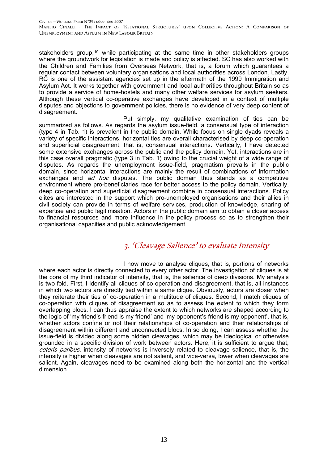stakeholders group,<sup>[19](#page-28-1)</sup> while participating at the same time in other stakeholders groups where the groundwork for legislation is made and policy is affected. SC has also worked with the Children and Families from Overseas Network, that is, a forum which guarantees a regular contact between voluntary organisations and local authorities across London. Lastly, RC is one of the assistant agencies set up in the aftermath of the 1999 Immigration and Asylum Act. It works together with government and local authorities throughout Britain so as to provide a service of home-hostels and many other welfare services for asylum seekers. Although these vertical co-operative exchanges have developed in a context of multiple disputes and objections to government policies, there is no evidence of very deep content of disagreement.

Put simply, my qualitative examination of ties can be summarized as follows. As regards the asylum issue-field, a consensual type of interaction (type 4 in Tab. 1) is prevalent in the public domain. While focus on single dyads reveals a variety of specific interactions, horizontal ties are overall characterised by deep co-operation and superficial disagreement, that is, consensual interactions. Vertically, I have detected some extensive exchanges across the public and the policy domain. Yet, interactions are in this case overall pragmatic (type 3 in Tab. 1) owing to the crucial weight of a wide range of disputes. As regards the unemployment issue-field, pragmatism prevails in the public domain, since horizontal interactions are mainly the result of combinations of information exchanges and *ad hoc* disputes. The public domain thus stands as a competitive environment where pro-beneficiaries race for better access to the policy domain. Vertically, deep co-operation and superficial disagreement combine in consensual interactions. Policy elites are interested in the support which pro-unemployed organisations and their allies in civil society can provide in terms of welfare services, production of knowledge, sharing of expertise and public legitimisation. Actors in the public domain aim to obtain a closer access to financial resources and more influence in the policy process so as to strengthen their organisational capacities and public acknowledgement.

# 3. 'Cleavage Salience' to evaluate Intensity

I now move to analyse cliques, that is, portions of networks where each actor is directly connected to every other actor. The investigation of cliques is at the core of my third indicator of intensity, that is, the salience of deep divisions. My analysis is two-fold. First, I identify all cliques of co-operation and disagreement, that is, all instances in which two actors are directly tied within a same clique. Obviously, actors are closer when they reiterate their ties of co-operation in a multitude of cliques. Second, I match cliques of co-operation with cliques of disagreement so as to assess the extent to which they form overlapping blocs. I can thus appraise the extent to which networks are shaped according to the logic of 'my friend's friend is my friend' and 'my opponent's friend is my opponent', that is, whether actors confine or not their relationships of co-operation and their relationships of disagreement within different and unconnected blocs. In so doing, I can assess whether the issue-field is divided along some hidden cleavages, which may be ideological or otherwise grounded in a specific division of work between actors. Here, it is sufficient to argue that, ceteris paribus, intensity of networks is inversely related to cleavage salience, that is, the intensity is higher when cleavages are not salient, and vice-versa, lower when cleavages are salient. Again, cleavages need to be examined along both the horizontal and the vertical dimension.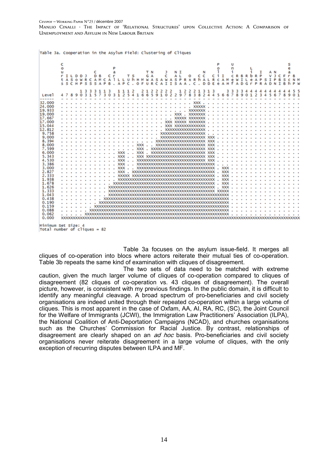|  | Table 3a. Cooperation in the Asylum Field: Clustering of Cliques |  |  |  |  |
|--|------------------------------------------------------------------|--|--|--|--|
|  |                                                                  |  |  |  |  |

|                   | c<br>Ō<br>r<br>τ | А<br>5S | <b>TL</b><br>s<br>C | $\circ$<br>н | D<br>w<br>s<br>P | R<br>s             | D<br>А<br>s | м<br>Δ | с<br>А<br>в | P | Δ                     | o<br>c              | T <sub>S</sub><br>u h | O F | H M W A                                                   | T N<br>G A<br>u | R | s<br>C | А<br>Δ | J.<br>c<br>W<br>А<br>T<br>т                  | s<br>s | N I<br>A <sub>L</sub><br>P<br>Δ | Δ | $\circ$<br>RXRh<br>C | c c<br>А<br>D                                                              | D   | c<br>R<br>E | c<br>e | А<br>$\Delta$<br>$\mathbf{H}$ | u<br>n<br>f | R<br>w<br>Δ | в<br>х<br>D | G | ь<br><b>P</b> | R <sub>P</sub><br>А<br>D | т<br>$\mathbf{D}$ | Δ<br>D    | т | B | h | P<br>w         |
|-------------------|------------------|---------|---------------------|--------------|------------------|--------------------|-------------|--------|-------------|---|-----------------------|---------------------|-----------------------|-----|-----------------------------------------------------------|-----------------|---|--------|--------|----------------------------------------------|--------|---------------------------------|---|----------------------|----------------------------------------------------------------------------|-----|-------------|--------|-------------------------------|-------------|-------------|-------------|---|---------------|--------------------------|-------------------|-----------|---|---|---|----------------|
|                   |                  |         |                     |              | 13               | 3                  | з           | 11     | з           |   |                       | 111                 |                       |     | $\begin{smallmatrix}2&&2&1&2\\4&1&6&6&5\end{smallmatrix}$ |                 |   |        |        | $2$ $2$ $2$ $2$ $2$ $1$ $2$<br>9 1 0 2 2 9 7 |        |                                 |   | $\frac{2}{8}$        | $\begin{array}{cccc}\n2 & 1 & 3 & 1 & 3 \\ 3 & 8 & 2 & 4 & 4\n\end{array}$ |     |             |        |                               | з           | 3           |             |   |               |                          |                   |           |   |   |   | 5 <sup>5</sup> |
| Level             |                  |         | 89                  |              | 031573           |                    |             |        |             |   |                       | 03125               |                       |     |                                                           |                 |   |        |        |                                              |        |                                 |   |                      |                                                                            | 244 |             |        | 566789                        |             |             |             |   |               |                          |                   | 012345678 |   |   | ۰ | 0 <sub>1</sub> |
| 32,000            |                  |         |                     |              |                  |                    |             |        |             |   |                       |                     |                       |     |                                                           |                 |   |        |        |                                              |        |                                 |   |                      |                                                                            |     |             |        |                               |             |             |             |   |               |                          |                   |           |   |   |   |                |
| 24,000            |                  |         |                     |              |                  |                    |             |        |             |   |                       |                     |                       |     |                                                           |                 |   |        |        |                                              |        |                                 |   |                      |                                                                            |     |             |        |                               |             |             |             |   |               |                          |                   |           |   |   |   |                |
| 19.933            |                  |         |                     |              |                  |                    |             |        |             |   |                       |                     |                       |     |                                                           |                 |   |        |        |                                              |        |                                 |   |                      |                                                                            |     |             |        | .                             |             |             |             |   |               |                          |                   |           |   |   |   |                |
| 19.000            |                  |         |                     |              |                  |                    |             |        |             |   |                       |                     |                       |     |                                                           |                 |   |        |        |                                              |        |                                 |   |                      |                                                                            |     |             |        | .                             |             |             |             |   |               |                          |                   |           |   |   |   |                |
| 17.667            |                  |         |                     |              |                  |                    |             |        |             |   |                       |                     |                       |     |                                                           |                 |   |        |        |                                              |        |                                 |   |                      |                                                                            |     |             |        |                               |             |             |             |   |               |                          |                   |           |   |   |   | .              |
| 17.000            |                  |         |                     |              |                  |                    |             |        |             |   |                       |                     |                       |     |                                                           |                 |   |        |        |                                              |        |                                 |   |                      |                                                                            |     |             |        |                               |             |             |             |   |               |                          |                   |           |   |   |   | .              |
| 15.044            |                  |         |                     |              |                  |                    |             |        |             |   |                       |                     |                       |     |                                                           |                 |   |        |        |                                              |        |                                 |   |                      |                                                                            |     |             |        |                               |             |             |             |   |               |                          |                   |           |   |   |   | .              |
| 12.812            |                  |         |                     |              |                  |                    |             |        |             |   |                       |                     |                       |     |                                                           |                 |   |        |        |                                              |        |                                 |   |                      |                                                                            |     |             |        |                               |             |             |             |   |               |                          |                   |           |   |   |   | .              |
| 9.758             |                  |         |                     |              |                  |                    |             |        |             |   |                       |                     |                       |     |                                                           |                 |   |        |        |                                              |        |                                 |   |                      |                                                                            | ×.  |             |        |                               |             |             |             |   |               |                          |                   |           |   |   |   | .              |
| 9.000             |                  |         |                     |              |                  |                    |             |        |             |   |                       |                     |                       |     |                                                           |                 |   |        |        |                                              |        |                                 |   |                      |                                                                            |     |             |        |                               |             |             |             |   |               |                          |                   |           |   |   |   | .              |
| 8.394             |                  |         |                     |              |                  |                    |             |        |             |   |                       |                     |                       |     |                                                           |                 |   |        |        |                                              |        |                                 |   |                      |                                                                            |     |             |        |                               |             |             |             |   |               |                          |                   |           |   |   |   | .              |
| 8.000             |                  |         |                     |              |                  |                    |             |        |             |   |                       |                     |                       |     |                                                           |                 |   |        |        |                                              |        |                                 |   |                      |                                                                            |     |             |        |                               |             |             |             |   |               |                          |                   |           |   |   |   | .              |
| 7.599             |                  |         |                     |              | . XXX            |                    |             |        |             |   |                       |                     |                       |     |                                                           |                 |   |        |        |                                              |        |                                 |   |                      |                                                                            |     |             |        |                               |             |             |             |   |               |                          |                   |           |   |   |   | .              |
| 6.000             |                  |         |                     |              | . XXX XXX        |                    |             |        |             |   |                       |                     |                       |     |                                                           | ä.              |   |        |        |                                              |        |                                 |   |                      |                                                                            |     |             |        |                               |             |             |             |   |               |                          |                   |           |   |   |   | .              |
| 5.343             |                  |         |                     |              |                  |                    |             |        |             |   |                       |                     |                       |     |                                                           |                 |   |        |        |                                              |        |                                 |   |                      |                                                                            |     |             |        |                               |             |             |             |   |               |                          |                   |           |   |   |   | .              |
| 4.530             |                  |         |                     |              | .                |                    |             |        |             |   |                       |                     |                       |     |                                                           |                 |   |        |        |                                              |        |                                 |   |                      |                                                                            |     |             |        |                               |             |             |             |   |               |                          |                   |           |   |   |   | .              |
| 3.386             |                  |         |                     |              | .                |                    |             |        |             |   |                       |                     |                       |     |                                                           |                 |   |        |        |                                              |        |                                 |   |                      |                                                                            |     |             |        |                               |             |             |             |   |               |                          |                   |           |   |   |   | .              |
| 3.000             |                  |         |                     |              |                  | and a straight and |             |        |             |   |                       |                     | $\sim 10$             |     |                                                           |                 |   |        |        |                                              |        |                                 |   |                      |                                                                            |     |             |        |                               |             |             |             |   |               |                          |                   |           |   |   |   |                |
| 2.827             |                  |         |                     |              |                  |                    |             |        |             |   | $\ldots$ $\ldots$ xxx |                     |                       |     |                                                           |                 |   |        |        |                                              |        |                                 |   |                      |                                                                            |     |             |        |                               |             |             |             |   |               |                          |                   |           |   |   |   |                |
| 2.333             |                  |         |                     |              |                  |                    |             |        | and a state |   |                       |                     |                       |     |                                                           |                 |   |        |        |                                              |        |                                 |   |                      |                                                                            |     |             |        | $.$ $xxx$                     |             |             |             |   |               |                          |                   |           |   |   |   | .              |
| 1.938             |                  |         |                     |              |                  |                    |             |        |             |   |                       |                     |                       |     |                                                           |                 |   |        |        |                                              |        |                                 |   |                      |                                                                            |     |             |        | $-$ XXX                       |             |             |             |   |               |                          |                   |           |   |   |   | .              |
| 1.678             |                  |         |                     |              |                  |                    |             |        |             |   |                       |                     |                       |     |                                                           |                 |   |        |        |                                              |        |                                 |   |                      |                                                                            |     |             |        | $.$ $x$ $x$ $x$               |             |             |             |   |               |                          |                   |           |   |   |   | .              |
| 1.626             |                  |         |                     |              |                  |                    |             |        |             |   |                       |                     |                       |     |                                                           |                 |   |        |        |                                              |        |                                 |   |                      |                                                                            |     |             |        |                               |             |             |             |   |               |                          |                   |           |   |   |   | .              |
| 1.333             |                  |         |                     |              |                  |                    |             |        |             |   |                       |                     |                       |     |                                                           |                 |   |        |        |                                              |        |                                 |   |                      |                                                                            |     |             |        |                               |             |             |             |   |               |                          |                   | .         |   |   |   |                |
| 1.043             |                  |         |                     |              | .                |                    |             |        |             |   |                       |                     |                       |     |                                                           |                 |   |        |        |                                              |        |                                 |   |                      |                                                                            |     |             |        |                               |             |             |             |   |               |                          |                   |           |   |   |   | .              |
| 0.438             |                  |         |                     |              | .                |                    |             |        |             |   |                       |                     |                       |     |                                                           |                 |   |        |        |                                              |        |                                 |   |                      |                                                                            |     |             |        |                               |             |             |             |   |               |                          |                   | .         |   |   |   |                |
| 0.190             |                  |         |                     |              |                  |                    |             |        |             |   |                       |                     |                       |     |                                                           |                 |   |        |        |                                              |        |                                 |   |                      |                                                                            |     |             |        |                               |             |             |             |   |               |                          |                   | .         |   |   |   |                |
| 0.159             |                  |         |                     |              | .                |                    |             |        |             |   |                       | XXXXXXXXXXXXXXXXXXX |                       |     |                                                           |                 |   |        |        |                                              |        |                                 |   |                      |                                                                            |     |             |        |                               |             |             |             |   |               |                          |                   | .         |   |   |   |                |
| 0.088             |                  |         |                     |              | and a state      |                    |             |        |             |   |                       |                     |                       |     |                                                           |                 |   |        |        |                                              |        |                                 |   |                      |                                                                            |     |             |        |                               |             |             |             |   |               |                          |                   | .         |   |   |   |                |
| 0.062<br>0.000    |                  |         |                     |              |                  |                    |             |        |             |   |                       |                     |                       |     |                                                           |                 |   |        |        |                                              |        |                                 |   |                      |                                                                            |     |             |        |                               |             |             |             |   |               |                          |                   | .         |   |   |   |                |
|                   |                  |         |                     |              |                  |                    |             |        |             |   |                       |                     |                       |     |                                                           |                 |   |        |        |                                              |        |                                 |   |                      |                                                                            |     |             |        |                               |             |             |             |   |               |                          |                   |           |   |   |   |                |
| udadana mas misao |                  |         |                     |              |                  |                    |             |        |             |   |                       |                     |                       |     |                                                           |                 |   |        |        |                                              |        |                                 |   |                      |                                                                            |     |             |        |                               |             |             |             |   |               |                          |                   |           |   |   |   |                |

Minimum Set Size: 4<br>Total number of cliques = 82

Table 3a focuses on the asylum issue-field. It merges all cliques of co-operation into blocs where actors reiterate their mutual ties of co-operation. Table 3b repeats the same kind of examination with cliques of disagreement.

The two sets of data need to be matched with extreme caution, given the much larger volume of cliques of co-operation compared to cliques of disagreement (82 cliques of co-operation vs. 43 cliques of disagreement). The overall picture, however, is consistent with my previous findings. In the public domain, it is difficult to identify any meaningful cleavage. A broad spectrum of pro-beneficiaries and civil society organisations are indeed united through their repeated co-operation within a large volume of cliques. This is most apparent in the case of Oxfam, AA, AI, RA, RC, (SC), the Joint Council for the Welfare of Immigrants (JCWI), the Immigration Law Practitioners' Association (ILPA), the National Coalition of Anti-Deportation Campaigns (NCAD), and churches organisations such as the Churches' Commission for Racial Justice. By contrast, relationships of disagreement are clearly shaped on an *ad hoc* basis. Pro-beneficiaries and civil society organisations never reiterate disagreement in a large volume of cliques, with the only exception of recurring disputes between ILPA and MF.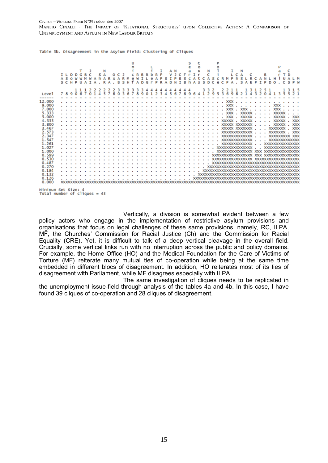#### CEVIPOF -- WORKING PAPER N°23 / décembre 2007

Manlio Cinalli - The Impact of 'Relational Structures' upon Collective Action: A Comparison of Unemployment and Asylum in New Labour Britain

Table 3b. Disagreement in the Asylum Field: Clustering of Cliques

|                                         |                          |               |        |                |   |         |  |   |  |   |                                        |   |   |   |   |   |                                  |   |                        |                |          |    | é |   | ö<br>ü |                         |   |   |   |                    |   |                 |               |   |                                      |   |   | P               |               |   |                                        |
|-----------------------------------------|--------------------------|---------------|--------|----------------|---|---------|--|---|--|---|----------------------------------------|---|---|---|---|---|----------------------------------|---|------------------------|----------------|----------|----|---|---|--------|-------------------------|---|---|---|--------------------|---|-----------------|---------------|---|--------------------------------------|---|---|-----------------|---------------|---|----------------------------------------|
|                                         |                          | D             | D      |                | R |         |  |   |  |   |                                        |   |   | в |   |   |                                  |   |                        |                |          |    |   | т |        |                         |   |   |   |                    | Ð |                 |               |   |                                      |   |   |                 |               |   |                                        |
|                                         | A S<br>$\leq$ $\epsilon$ | $\Omega$<br>н | w<br>P | $\blacksquare$ |   |         |  | R |  | R | s                                      | н | Δ | n | o | D |                                  |   |                        |                |          | R  |   |   | s      | ς<br>D                  | s | e | R | Е                  |   | c,              | E             | ۰ | т                                    | Ð | n |                 |               | ς | P W                                    |
|                                         |                          |               |        |                |   |         |  |   |  |   |                                        |   |   |   |   |   |                                  |   |                        |                |          |    |   |   |        |                         |   |   |   |                    |   |                 |               |   |                                      |   |   |                 |               |   |                                        |
|                                         |                          |               |        |                |   |         |  |   |  | 3 | в                                      |   |   |   |   | Δ | Δ                                | A | $\boldsymbol{\Lambda}$ | $\overline{4}$ | $\Delta$ | 4A |   |   |        | -3                      |   |   |   |                    |   |                 |               |   |                                      |   |   |                 |               |   |                                        |
| Leve <sub>1</sub>                       |                          | 789067        |        |                |   | 0145780 |  |   |  |   |                                        |   |   |   |   |   |                                  |   |                        |                |          |    |   |   |        | 36789012345678964129536 |   |   |   |                    |   |                 |               |   |                                      |   |   |                 | 9821432041355 |   | 21                                     |
|                                         |                          |               |        |                |   |         |  |   |  |   |                                        |   |   |   |   |   |                                  |   |                        |                |          |    |   |   |        |                         |   |   |   |                    |   |                 |               |   |                                      |   |   |                 |               |   |                                        |
| 12.000                                  |                          |               |        |                |   |         |  |   |  |   |                                        |   |   |   |   |   |                                  |   |                        |                |          |    |   |   |        |                         |   |   |   |                    |   |                 |               |   |                                      |   |   |                 |               |   |                                        |
| 9.000                                   |                          |               |        |                |   |         |  |   |  |   |                                        |   |   |   |   |   |                                  |   |                        |                |          |    |   |   |        |                         |   |   |   | <b>XXX</b>         |   | $\sim$          |               |   | . XXX .                              |   |   |                 |               |   |                                        |
| 7.000                                   |                          |               |        |                |   |         |  |   |  |   |                                        |   |   |   |   |   |                                  |   |                        |                |          |    |   |   |        |                         |   |   |   |                    |   | $xxx$ , $xxx$ . |               |   | $\ldots$ $\ldots$ XXX                |   |   |                 |               |   |                                        |
| 5.333                                   |                          |               |        |                |   |         |  |   |  |   | .                                      |   |   |   |   |   |                                  |   |                        |                |          |    |   |   |        |                         |   |   |   | <b>XXX</b>         |   |                 | <b>XXXXXX</b> |   |                                      |   |   | <b>XXXXX</b>    |               |   |                                        |
| 5.000                                   |                          |               |        |                |   |         |  |   |  |   |                                        |   |   |   |   |   |                                  |   |                        |                |          |    |   |   |        |                         |   |   |   | <b>XXX</b>         |   | $\sim$          | XXXXX         |   |                                      |   |   | XXXXX           |               |   | <b>XXX</b>                             |
| 4.333                                   |                          |               |        |                |   |         |  |   |  |   |                                        |   |   |   |   |   |                                  |   |                        |                |          |    |   |   |        |                         |   |   |   | <b>XXXXX</b>       |   |                 | <b>XXXXX</b>  |   |                                      |   |   | <b>XXXXX</b>    |               |   | <b>XXX</b>                             |
| 3.800                                   |                          |               |        |                |   |         |  |   |  |   | .                                      |   |   |   |   |   |                                  |   |                        |                |          |    |   |   |        |                         |   |   |   | XXXXX XXXXXXX      |   |                 |               |   |                                      |   |   | <b>XXXXX</b>    |               |   | <b>XXX</b>                             |
| 3.467                                   |                          |               |        |                |   |         |  |   |  |   | .                                      |   |   |   |   |   |                                  |   |                        |                |          |    |   |   |        |                         |   |   |   | XXXXX XXXXXXXX     |   |                 |               |   | $\mathbf{r}=\mathbf{r}+\mathbf{r}$ . |   |   | <b>XXXXXXXX</b> |               |   | <b>XXX</b>                             |
| 2.573                                   |                          |               |        |                |   |         |  |   |  |   | .                                      |   |   |   |   |   | $\sim$ $\sim$ $\sim$             |   |                        |                |          |    |   |   |        |                         |   |   |   | XXXXXXXXXXXXXX     |   |                 |               |   | $\ldots$ xxxxxxxxx                   |   |   |                 |               |   | <b>XXX</b>                             |
| 2.347                                   |                          |               |        |                |   |         |  |   |  |   |                                        |   |   |   |   |   |                                  |   |                        |                |          |    |   |   |        |                         |   |   |   | XXXXXXXXXXXX       |   |                 |               |   | $\sim$ $\sim$ $\sim$                 |   |   |                 |               |   | XXXXXXXXXX XXX                         |
| 1.547                                   |                          |               |        |                |   |         |  |   |  |   | .                                      |   |   |   |   |   |                                  |   |                        |                |          |    |   |   |        |                         |   |   |   | XXXXXXXXXXXXXX     |   |                 |               |   |                                      |   |   |                 |               |   | XXXXXXXXXXXXXX                         |
| 1,261                                   |                          |               |        |                |   |         |  |   |  |   | and a strain and                       |   |   |   |   |   | and a straightful and a straight |   |                        |                |          |    |   |   |        |                         |   |   |   | XXXXXXXXXXXXX      |   |                 |               |   |                                      |   |   |                 |               |   | XXXXXXXXXXXXXXXXX                      |
| 1.027                                   |                          |               |        |                |   |         |  |   |  |   |                                        |   |   |   |   |   | .                                |   |                        |                |          |    |   |   |        |                         |   |   |   | XXXXXXXXXXXXXXX    |   |                 |               |   |                                      |   |   |                 |               |   | XXXXXXXXXXXXXXXX                       |
| 1,000                                   |                          |               |        |                |   |         |  |   |  |   | .                                      |   |   |   |   |   |                                  |   |                        |                |          |    |   |   |        |                         |   |   |   |                    |   |                 |               |   |                                      |   |   |                 |               |   |                                        |
| 0.599                                   |                          |               |        |                |   |         |  |   |  |   | .                                      |   |   |   |   |   |                                  |   |                        |                |          |    |   |   |        |                         |   |   |   | XXXXXXXXXXXXXXXXXX |   |                 |               |   |                                      |   |   |                 |               |   | XXX XXXXXXXXXXXXXXXX                   |
| 0.530                                   |                          |               |        |                |   |         |  |   |  |   | .                                      |   |   |   |   |   |                                  |   |                        |                |          |    |   |   |        |                         |   |   |   |                    |   |                 |               |   |                                      |   |   |                 |               |   |                                        |
| 0.487                                   |                          |               |        |                |   |         |  |   |  |   | .                                      |   |   |   |   |   |                                  |   |                        |                |          |    |   |   |        |                         |   |   |   |                    |   |                 |               |   |                                      |   |   |                 |               |   | XXXXXXXXXXXXXXXXXXXXXXXXXXXXXXXXXXXXXX |
| 0.270                                   |                          |               |        |                |   |         |  |   |  |   | .                                      |   |   |   |   |   |                                  |   |                        |                |          |    |   |   |        |                         |   |   |   |                    |   |                 |               |   |                                      |   |   |                 |               |   |                                        |
| 0.184                                   |                          |               |        |                |   |         |  |   |  |   | and a straightful and a straight       |   |   |   |   |   |                                  |   |                        |                |          |    |   |   |        |                         |   |   |   |                    |   |                 |               |   |                                      |   |   |                 |               |   |                                        |
| 0.132                                   |                          |               |        |                |   |         |  |   |  |   |                                        |   |   |   |   |   |                                  |   |                        |                |          |    |   |   |        |                         |   |   |   |                    |   |                 |               |   |                                      |   |   |                 |               |   |                                        |
|                                         |                          |               |        |                |   |         |  |   |  |   | <b><i><u>A. A. A. A. A. A.</u></i></b> |   |   |   |   |   |                                  |   |                        |                |          |    |   |   |        |                         |   |   |   |                    |   |                 |               |   |                                      |   |   |                 |               |   |                                        |
| 0.126                                   |                          |               |        |                |   |         |  |   |  |   |                                        |   |   |   |   |   |                                  |   |                        |                |          |    |   |   |        |                         |   |   |   |                    |   |                 |               |   |                                      |   |   |                 |               |   |                                        |
| 0.000                                   |                          | XXXXXXXXX     |        |                |   |         |  |   |  |   |                                        |   |   |   |   |   |                                  |   |                        |                |          |    |   |   |        |                         |   |   |   |                    |   |                 |               |   |                                      |   |   |                 |               |   |                                        |
| والمتحافظ المتاحي والمتحاورة والمتوافقة |                          |               |        |                |   |         |  |   |  |   |                                        |   |   |   |   |   |                                  |   |                        |                |          |    |   |   |        |                         |   |   |   |                    |   |                 |               |   |                                      |   |   |                 |               |   |                                        |

Minimum Set Size: 4<br>Total number of cliques = 43

Vertically, a division is somewhat evident between a few policy actors who engage in the implementation of restrictive asylum provisions and organisations that focus on legal challenges of these same provisions, namely, RC, ILPA, MF, the Churches' Commission for Racial Justice (Ch) and the Commission for Racial Equality (CRE). Yet, it is difficult to talk of a deep vertical cleavage in the overall field. Crucially, some vertical links run with no interruption across the public and policy domains. For example, the Home Office (HO) and the Medical Foundation for the Care of Victims of Torture (MF) reiterate many mutual ties of co-operation while being at the same time embedded in different blocs of disagreement. In addition, HO reiterates most of its ties of disagreement with Parliament, while MF disagrees especially with ILPA.

The same investigation of cliques needs to be replicated in the unemployment issue-field through analysis of the tables 4a and 4b. In this case, I have found 39 cliques of co-operation and 28 cliques of disagreement.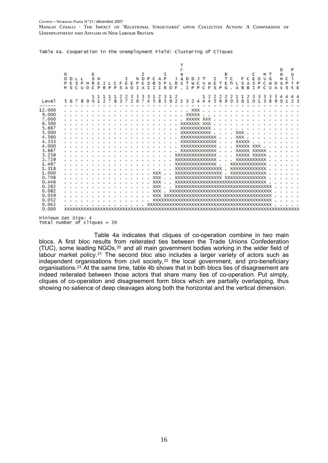|        | E<br>O<br>DDL<br>N<br><b>NDPC</b><br>Ε<br>8<br>s<br>P<br>-S<br>s<br>Е<br>P<br>E<br>R<br>Е<br>Æ<br>P<br>P<br>н<br>$\mathbf T$<br>P<br>s<br>т<br>A<br>$\mathbf{I}$<br>т<br>S C<br>C<br>R P<br>A<br>R<br>D<br>м<br>U O<br>P<br>$\circ$ | P<br>D<br>в<br>C<br>N T<br>۵<br>٥<br>т<br>C E<br>U G<br>נ מ<br>τ<br>c<br>F<br>c<br>D<br>$\circ$<br>Е<br>E<br>hι<br>s<br>s<br>i P<br>C<br>А<br>P<br>c<br>P<br>s<br>W<br><b>U</b> W<br>т<br>$\circ$<br>R<br>D<br>F<br>P<br>S <sub>P</sub><br>т<br>P<br>F<br>G<br>В<br>х<br>F<br>C<br>А<br>в<br>c<br>s<br>t F<br>$\mathbf{U}$<br>A<br>-S<br>a. |
|--------|-------------------------------------------------------------------------------------------------------------------------------------------------------------------------------------------------------------------------------------|---------------------------------------------------------------------------------------------------------------------------------------------------------------------------------------------------------------------------------------------------------------------------------------------------------------------------------------------|
| Level  | 1 1 1 1 1 2 2 3 3 3 3 1 2 3 1 2<br>267<br>4 5 8 5<br>1, 2, 7, 8<br>37<br>567<br>89<br>$\Omega$                                                                                                                                      | 1 2 2 2 2 2 1 1 2<br>44<br>-3<br>-3<br>з<br>3.<br>3<br>4 5 6 9<br>0, 3, 6, 1<br>$\mathbf{1}$<br>9 2 1 3 2 4<br>3<br>8<br>$\boldsymbol{A}$<br>$\Omega$<br>Q<br>2 <sup>3</sup><br>1<br>$\Omega$                                                                                                                                               |
|        |                                                                                                                                                                                                                                     |                                                                                                                                                                                                                                                                                                                                             |
| 12.000 |                                                                                                                                                                                                                                     |                                                                                                                                                                                                                                                                                                                                             |
| 9.000  | $\sim$<br>and a series and                                                                                                                                                                                                          | $\mathbf{L}^{\mathbf{r}}$<br>and a state of                                                                                                                                                                                                                                                                                                 |
| 7.000  |                                                                                                                                                                                                                                     | . XXXXX XXX .<br><b>Service</b><br>$\sim$                                                                                                                                                                                                                                                                                                   |
| 6.500  |                                                                                                                                                                                                                                     |                                                                                                                                                                                                                                                                                                                                             |
| 5.667  |                                                                                                                                                                                                                                     | XXXXXXXXXXX<br>and a state<br>$\sim$ $\sim$ $\sim$                                                                                                                                                                                                                                                                                          |
| 5.000  |                                                                                                                                                                                                                                     | . XXX<br>XXXXXXXXXXXXXX                                                                                                                                                                                                                                                                                                                     |
| 4.560  | $\sim$ $\sim$                                                                                                                                                                                                                       |                                                                                                                                                                                                                                                                                                                                             |
| 4.333  |                                                                                                                                                                                                                                     | $\sim$                                                                                                                                                                                                                                                                                                                                      |
| 4,000  |                                                                                                                                                                                                                                     |                                                                                                                                                                                                                                                                                                                                             |
| 3.667  |                                                                                                                                                                                                                                     | . XXXXX XXXXX<br>XXXXXXXXXXXXX                                                                                                                                                                                                                                                                                                              |
| 3.258  |                                                                                                                                                                                                                                     | $\sim$ $\sim$                                                                                                                                                                                                                                                                                                                               |
| 2.729  |                                                                                                                                                                                                                                     | XXXXXXXXXXXXXXXXX<br>XXXXXXXXXXX<br>$\sim$<br>$\sim$                                                                                                                                                                                                                                                                                        |
| 1.467  | $\sim$ $\sim$<br>$\sim$ $\sim$<br>$\sim$ $\sim$                                                                                                                                                                                     | XXXXXXXXXXXXXX<br>$\sim$ $\sim$                                                                                                                                                                                                                                                                                                             |
| 1.318  | and a state                                                                                                                                                                                                                         | XXXXXXXXXXXXX                                                                                                                                                                                                                                                                                                                               |
| 1.000  | $\ldots$ $\ldots$ XXX $\ldots$                                                                                                                                                                                                      | XXXXXXXXXXXXXXXXX<br>XXXXXXXXXXXXX                                                                                                                                                                                                                                                                                                          |
| 0.708  | $\ldots$ XXX $\ldots$<br>and a state                                                                                                                                                                                                | XXXXXXXXXXXXXXXXXXXXXXXXXXXXXXXXXX                                                                                                                                                                                                                                                                                                          |
| 0.446  | <b>XXX</b><br>$\sim$ $\sim$<br>$\mathbf{r}$                                                                                                                                                                                         | XXXXXXXXXXXXXXXXXXXXXXXXXXXXXXXXX<br>$\ddot{\phantom{0}}$                                                                                                                                                                                                                                                                                   |
| 0.262  | $\cdot$ XXX                                                                                                                                                                                                                         | XXXXXXXXXXXXXXXXXXXXXXXXXXXXXXXXXXXX                                                                                                                                                                                                                                                                                                        |
| 0.082  | <b>XXX</b><br>$\sim$<br>×                                                                                                                                                                                                           | <b>XXXXXXXXXXXXXXXX</b><br>xxxxxxxxxxxxxxxxxxxx                                                                                                                                                                                                                                                                                             |
| 0.059  |                                                                                                                                                                                                                                     |                                                                                                                                                                                                                                                                                                                                             |
| 0.052  | the contract of the contract of                                                                                                                                                                                                     | $\sim$ $\sim$                                                                                                                                                                                                                                                                                                                               |
| 0.042  |                                                                                                                                                                                                                                     |                                                                                                                                                                                                                                                                                                                                             |
| 0.000  |                                                                                                                                                                                                                                     |                                                                                                                                                                                                                                                                                                                                             |

Table 4a. Cooperation in the Unemployment Field: Clustering of Cliques

Minimum Set Size: 4<br>Total number of cliques = 39

Table 4a indicates that cliques of co-operation combine in two main blocs. A first bloc results from reiterated ties between the Trade Unions Confederation (TUC), some leading NGOs,[20](#page-28-1) and all main government bodies working in the wider field of labour market policy.<sup>[21](#page-28-1)</sup> The second bloc also includes a larger variety of actors such as independent organisations from civil society, $22$  the local government, and pro-beneficiary organisations.[23](#page-28-1) At the same time, table 4b shows that in both blocs ties of disagreement are indeed reiterated between those actors that share many ties of co-operation. Put simply, cliques of co-operation and disagreement form blocs which are partially overlapping, thus showing no salience of deep cleavages along both the horizontal and the vertical dimension.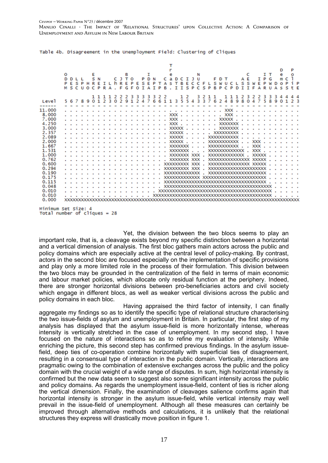|                     | $\Omega$ | n.<br>E S<br>M S C U | P | $\circ$ | E<br>R<br>C P | N | R A |                             | R<br>F | в<br>0 דנ<br>E<br>G F                                                                                                                                                                                                          | P | E<br>$\circ$                  | P<br>s<br>T | D<br>Е<br>$\Delta$ | N<br>P<br>$\mathbf{T}$ | P | Δ<br>в | a<br>s                               | D C<br>ĩ | в<br>т  | $\mathbf{T}$<br>E<br>$S$ $P$ | ט נ<br>c c           | N<br>C               | F<br>S P | $\mathsf{L}$ | Е<br>s<br>B <sub>P</sub> | D T<br>w | U<br>C P | c | D | A F<br>т | T | S W<br>F        | т<br>F<br>ARU | тт<br>P<br>P | G  | D | D<br>e<br>$\Omega$<br>s                                                           | C<br>P<br>s | P<br>o<br>i P<br>tΕ |  |
|---------------------|----------|----------------------|---|---------|---------------|---|-----|-----------------------------|--------|--------------------------------------------------------------------------------------------------------------------------------------------------------------------------------------------------------------------------------|---|-------------------------------|-------------|--------------------|------------------------|---|--------|--------------------------------------|----------|---------|------------------------------|----------------------|----------------------|----------|--------------|--------------------------|----------|----------|---|---|----------|---|-----------------|---------------|--------------|----|---|-----------------------------------------------------------------------------------|-------------|---------------------|--|
|                     |          |                      |   |         |               |   |     | 1 1 1 1 2 2 2 3 3 3 3 3 2 2 |        |                                                                                                                                                                                                                                |   |                               |             |                    |                        |   |        |                                      |          |         | $1\,2$                       |                      | 3 2 1 1              |          |              |                          |          |          |   |   |          |   | 1 1 1 2 3 2 2 3 |               |              | 33 |   |                                                                                   |             | $4\,4$              |  |
| Level               |          |                      |   |         |               |   |     |                             |        |                                                                                                                                                                                                                                |   |                               |             |                    |                        |   |        |                                      |          |         |                              |                      |                      |          |              |                          |          |          |   |   |          |   |                 |               |              |    |   | 5 6 7 8 9 0 1 2 3 0 2 9 1 2 4 7 6 6 1 1 3 5 5 4 3 3 7 6 2 4 8 9 8 0 4 7 5 8 9 0 1 |             |                     |  |
| -----               |          |                      |   |         |               |   |     |                             |        |                                                                                                                                                                                                                                |   |                               |             |                    |                        |   |        |                                      |          |         |                              |                      |                      |          |              |                          |          |          |   |   |          |   |                 |               |              |    |   |                                                                                   |             |                     |  |
| 11,000              |          |                      |   |         |               |   |     |                             |        |                                                                                                                                                                                                                                |   |                               |             |                    |                        |   |        |                                      |          |         |                              |                      |                      |          |              |                          |          |          |   |   |          |   |                 |               |              |    |   |                                                                                   |             |                     |  |
| 8.000               |          |                      |   |         |               |   |     |                             |        |                                                                                                                                                                                                                                |   | and a straight and a straight |             |                    |                        |   |        |                                      |          |         |                              |                      |                      |          |              |                          |          |          |   |   |          |   |                 |               |              |    |   |                                                                                   |             |                     |  |
| 7.000               |          |                      |   |         |               |   |     |                             |        |                                                                                                                                                                                                                                |   |                               |             |                    |                        |   |        |                                      |          |         |                              |                      |                      |          |              |                          |          |          |   |   |          |   |                 |               |              |    |   |                                                                                   |             |                     |  |
| 4.250               |          |                      |   |         |               |   |     |                             |        |                                                                                                                                                                                                                                |   |                               |             |                    |                        |   |        |                                      |          |         |                              |                      |                      |          |              |                          |          |          |   |   |          |   |                 |               |              |    |   |                                                                                   |             |                     |  |
| 3.000               |          |                      |   |         |               |   |     |                             |        |                                                                                                                                                                                                                                |   |                               |             |                    |                        |   |        |                                      |          |         |                              |                      |                      |          |              |                          |          |          |   |   |          |   |                 |               |              |    |   |                                                                                   |             |                     |  |
| 2.357<br>2.089      |          |                      |   |         |               |   |     |                             |        |                                                                                                                                                                                                                                |   |                               |             |                    | $\sim$ $\sim$ $\sim$   |   |        |                                      |          |         |                              |                      |                      |          |              |                          |          |          |   |   |          |   |                 |               |              |    |   |                                                                                   |             |                     |  |
| 2,000               |          |                      |   |         |               |   |     | and a series and a series   |        | and a strain and                                                                                                                                                                                                               |   |                               |             |                    |                        |   |        |                                      |          |         |                              |                      |                      |          |              |                          |          |          |   |   |          |   |                 |               |              |    |   | and a series and a series                                                         |             |                     |  |
| 1.667               |          |                      |   |         |               |   |     |                             |        |                                                                                                                                                                                                                                |   |                               |             |                    |                        |   |        |                                      |          | XXXXXXX |                              | $\sim$ $\sim$ $\sim$ |                      |          |              |                          |          |          |   |   |          |   |                 |               |              |    |   | $XXX$ , , , , , , ,                                                               |             |                     |  |
| 1.531               |          |                      |   |         |               |   |     |                             |        | the contract of the contract of the contract of the contract of the contract of the contract of the contract of the contract of the contract of the contract of the contract of the contract of the contract of the contract o |   |                               |             |                    |                        |   |        |                                      |          | XXXXXXX |                              |                      | $\sim$ $\sim$ $\sim$ |          |              |                          |          |          |   |   |          |   |                 |               |              |    |   |                                                                                   |             |                     |  |
| 1.000               |          |                      |   |         |               |   |     |                             |        | and a straightful and straight                                                                                                                                                                                                 |   |                               |             |                    |                        |   |        |                                      |          |         |                              |                      |                      |          |              |                          |          |          |   |   |          |   |                 |               |              |    |   |                                                                                   |             |                     |  |
| 0.762               |          |                      |   |         |               |   |     |                             |        |                                                                                                                                                                                                                                |   |                               |             |                    |                        |   |        |                                      |          |         |                              | XXXXXXX XXX .        |                      |          |              |                          |          |          |   |   |          |   |                 |               |              |    |   |                                                                                   |             |                     |  |
| 0.600               |          |                      |   |         |               |   |     |                             |        | the contract of the con-                                                                                                                                                                                                       |   |                               |             |                    |                        |   |        | XXXXXXXXX XXX .                      |          |         |                              |                      |                      |          |              |                          |          |          |   |   |          |   |                 |               |              |    |   |                                                                                   |             |                     |  |
| 0.294               |          |                      |   |         |               |   |     |                             |        | and a state of                                                                                                                                                                                                                 |   |                               |             |                    |                        |   |        | XXXXXXXXX XXX .                      |          |         |                              |                      |                      |          |              |                          |          |          |   |   |          |   |                 |               |              |    |   |                                                                                   |             |                     |  |
| 0.190               |          |                      |   |         |               |   |     |                             |        |                                                                                                                                                                                                                                |   |                               |             |                    |                        |   |        | XXXXXXXXXXXXXX                       |          |         |                              |                      |                      |          |              |                          |          |          |   |   |          |   |                 |               |              |    |   |                                                                                   |             |                     |  |
| 0.175               |          |                      |   |         |               |   |     |                             |        |                                                                                                                                                                                                                                |   |                               |             |                    |                        |   |        | XXXXXXXXXXXX XXXXXXXXXXXXXXXXXXXXXXX |          |         |                              |                      |                      |          |              |                          |          |          |   |   |          |   |                 |               |              |    |   |                                                                                   |             |                     |  |
| 0.115               |          |                      |   |         |               |   |     |                             |        | and a state of                                                                                                                                                                                                                 |   |                               |             | $\sim$ $\sim$      |                        |   |        |                                      |          |         |                              |                      |                      |          |              |                          |          |          |   |   |          |   |                 |               |              |    |   |                                                                                   |             | $\sim$ $\sim$       |  |
| 0.048               |          |                      |   |         |               |   |     |                             |        | and a straight and                                                                                                                                                                                                             |   |                               |             |                    |                        |   |        |                                      |          |         |                              |                      |                      |          |              |                          |          |          |   |   |          |   |                 |               |              |    |   |                                                                                   |             |                     |  |
| 0.010               |          |                      |   |         |               |   |     |                             |        |                                                                                                                                                                                                                                |   |                               |             |                    |                        |   |        |                                      |          |         |                              |                      |                      |          |              |                          |          |          |   |   |          |   |                 |               |              |    |   |                                                                                   |             |                     |  |
| 0.010               |          |                      |   |         |               |   |     |                             |        |                                                                                                                                                                                                                                |   |                               |             |                    |                        |   |        |                                      |          |         |                              |                      |                      |          |              |                          |          |          |   |   |          |   |                 |               |              |    |   |                                                                                   |             |                     |  |
| 0.000               |          |                      |   |         |               |   |     |                             |        |                                                                                                                                                                                                                                |   |                               |             |                    |                        |   |        |                                      |          |         |                              |                      |                      |          |              |                          |          |          |   |   |          |   |                 |               |              |    |   |                                                                                   |             |                     |  |
| idadama man minar i |          |                      |   |         |               |   |     |                             |        |                                                                                                                                                                                                                                |   |                               |             |                    |                        |   |        |                                      |          |         |                              |                      |                      |          |              |                          |          |          |   |   |          |   |                 |               |              |    |   |                                                                                   |             |                     |  |

Table 4b. Disagreement in the Unemployment Field: Clustering of Cliques

Minimum Set Size: 4<br>Total number of cliques = 28

Yet, the division between the two blocs seems to play an important role, that is, a cleavage exists beyond my specific distinction between a horizontal and a vertical dimension of analysis. The first bloc gathers main actors across the public and policy domains which are especially active at the central level of policy-making. By contrast, actors in the second bloc are focused especially on the implementation of specific provisions and play only a more limited role in the process of their formulation. This division between the two blocs may be grounded in the centralization of the field in terms of main economic and labour market policies, which allocate only residual function at the periphery. Indeed, there are stronger horizontal divisions between pro-beneficiaries actors and civil society which engage in different blocs, as well as weaker vertical divisions across the public and policy domains in each bloc.

Having appraised the third factor of intensity, I can finally aggregate my findings so as to identify the specific type of relational structure characterising the two issue-fields of asylum and unemployment in Britain. In particular, the first step of my analysis has displayed that the asylum issue-field is more horizontally intense, whereas intensity is vertically stretched in the case of unemployment. In my second step, I have focused on the nature of interactions so as to refine my evaluation of intensity. While enriching the picture, this second step has confirmed previous findings. In the asylum issuefield, deep ties of co-operation combine horizontally with superficial ties of disagreement, resulting in a consensual type of interaction in the public domain. Vertically, interactions are pragmatic owing to the combination of extensive exchanges across the public and the policy domain with the crucial weight of a wide range of disputes. In sum, high horizontal intensity is confirmed but the new data seem to suggest also some significant intensity across the public and policy domains. As regards the unemployment issue-field, content of ties is richer along the vertical dimension. Finally, the examination of cleavages salience confirms again that horizontal intensity is stronger in the asylum issue-field, while vertical intensity may well prevail in the issue-field of unemployment. Although all these measures can certainly be improved through alternative methods and calculations, it is unlikely that the relational structures they express will drastically move position in figure 1.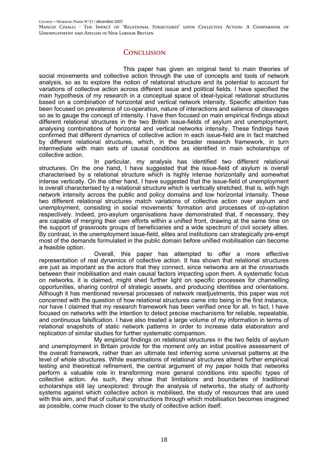### **CONCLUSION**

This paper has given an original twist to main theories of social movements and collective action through the use of concepts and tools of network analysis, so as to explore the notion of relational structure and its potential to account for variations of collective action across different issue and political fields. I have specified the main hypothesis of my research in a conceptual space of ideal-typical relational structures based on a combination of horizontal and vertical network intensity. Specific attention has been focused on prevalence of co-operation, nature of interactions and salience of cleavages so as to gauge the concept of intensity. I have then focused on main empirical findings about different relational structures in the two British issue-fields of asylum and unemployment, analysing combinations of horizontal and vertical networks intensity. These findings have confirmed that different dynamics of collective action in each issue-field are in fact matched by different relational structures, which, in the broader research framework, in turn intermediate with main sets of causal conditions as identified in main scholarships of collective action.

In particular, my analysis has identified two different relational structures. On the one hand, I have suggested that the issue-field of asylum is overall characterised by a relational structure which is highly intense horizontally and somewhat intense vertically. On the other hand, I have suggested that the issue-field of unemployment is overall characterised by a relational structure which is vertically stretched, that is, with high network intensity across the public and policy domains and low horizontal intensity. These two different relational structures match variations of collective action over asylum and unemployment, consisting in social movements' formation and processes of co-optation respectively. Indeed, pro-asylum organisations have demonstrated that, if necessary, they are capable of merging their own efforts within a unified front, drawing at the same time on the support of grassroots groups of beneficiaries and a wide spectrum of civil society allies. By contrast, in the unemployment issue-field, elites and institutions can strategically pre-empt most of the demands formulated in the public domain before unified mobilisation can become a feasible option.

Overall, this paper has attempted to offer a more effective representation of real dynamics of collective action. It has shown that relational structures are just as important as the actors that they connect, since networks are at the crossroads between their mobilisation and main causal factors impacting upon them. A systematic focus on networks, it is claimed, might shed further light on specific processes for channelling opportunities, sharing control of strategic assets, and producing identities and orientations. Although it has mentioned reversal processes of network readjustments, this paper was not concerned with the question of how relational structures came into being in the first instance, nor have I claimed that my research framework has been verified once for all. In fact, I have focused on networks with the intention to detect precise mechanisms for reliable, repeatable, and continuous falsification. I have also treated a large volume of my information in terms of relational snapshots of static network patterns in order to increase data elaboration and replication of similar studies for further systematic comparison.

My empirical findings on relational structures in the two fields of asylum and unemployment in Britain provide for the moment only an initial positive assessment of the overall framework, rather than an ultimate test inferring some universal patterns at the level of whole structures. While examinations of relational structures attend further empirical testing and theoretical refinement, the central argument of my paper holds that networks perform a valuable role in transforming more general conditions into specific types of collective action. As such, they show that limitations and boundaries of traditional scholarships still lay unexplored: through the analysis of networks, the study of authority systems against which collective action is mobilised, the study of resources that are used with this aim, and that of cultural constructions through which mobilisation becomes imagined as possible, come much closer to the study of collective action itself.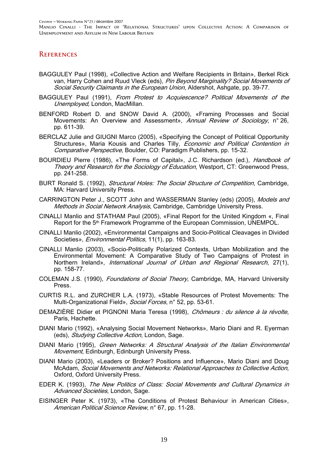### **REFERENCES**

- BAGGULEY Paul (1998), «Collective Action and Welfare Recipients in Britain», Berkel Rick van, Harry Cohen and Ruud Vleck (eds), Pin Beyond Marginality? Social Movements of Social Security Claimants in the European Union, Aldershot, Ashgate, pp. 39-77.
- BAGGULEY Paul (1991), From Protest to Acquiescence? Political Movements of the Unemployed, London, MacMillan.
- BENFORD Robert D. and SNOW David A. (2000), «Framing Processes and Social Movements: An Overview and Assessment», Annual Review of Sociology, n° 26, pp. 611-39.
- BERCLAZ Julie and GIUGNI Marco (2005), «Specifying the Concept of Political Opportunity Structures», Maria Kousis and Charles Tilly, *Economic and Political Contention in* Comparative Perspective, Boulder, CO: Paradigm Publishers, pp. 15-32.
- BOURDIEU Pierre (1986), «The Forms of Capital», J.C. Richardson (ed.), *Handbook of* Theory and Research for the Sociology of Education, Westport, CT: Greenwood Press, pp. 241-258.
- BURT Ronald S. (1992), Structural Holes: The Social Structure of Competition, Cambridge, MA: Harvard University Press.
- CARRINGTON Peter J., SCOTT John and WASSERMAN Stanley (eds) (2005), Models and Methods in Social Network Analysis, Cambridge, Cambridge University Press.
- CINALLI Manlio and STATHAM Paul (2005), «Final Report for the United Kingdom «, Final Report for the 5th Framework Programme of the European Commission, UNEMPOL.
- CINALLI Manlio (2002), «Environmental Campaigns and Socio-Political Cleavages in Divided Societies», Environmental Politics, 11(1), pp. 163-83.
- CINALLI Manlio (2003), «Socio-Politically Polarized Contexts, Urban Mobilization and the Environmental Movement: A Comparative Study of Two Campaigns of Protest in Northern Ireland», International Journal of Urban and Regional Research, 27(1), pp. 158-77.
- COLEMAN J.S. (1990), Foundations of Social Theory, Cambridge, MA, Harvard University Press.
- CURTIS R.L. and ZURCHER L.A. (1973), «Stable Resources of Protest Movements: The Multi-Organizational Field», Social Forces, n° 52, pp. 53-61.
- DEMAZIÈRE Didier et PIGNONI Maria Teresa (1998), Chômeurs : du silence à la révolte, Paris, Hachette.
- DIANI Mario (1992), «Analysing Social Movement Networks», Mario Diani and R. Eyerman (eds), Studying Collective Action, London, Sage.
- DIANI Mario (1995), Green Networks: A Structural Analysis of the Italian Environmental Movement, Edinburgh, Edinburgh University Press.
- DIANI Mario (2003), «Leaders or Broker? Positions and Influence», Mario Diani and Doug McAdam, Social Movements and Networks: Relational Approaches to Collective Action, Oxford, Oxford University Press.
- EDER K. (1993), The New Politics of Class: Social Movements and Cultural Dynamics in Advanced Societies, London, Sage.
- EISINGER Peter K. (1973), «The Conditions of Protest Behaviour in American Cities», American Political Science Review, n° 67, pp. 11-28.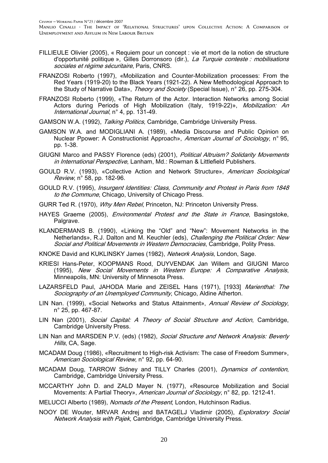- FILLIEULE Olivier (2005), « Requiem pour un concept : vie et mort de la notion de structure d'opportunité politique », Gilles Dorronsoro (dir.), La Turquie conteste : mobilisations sociales et régime sécuritaire, Paris, CNRS.
- FRANZOSI Roberto (1997), «Mobilization and Counter-Mobilization processes: From the Red Years (1919-20) to the Black Years (1921-22). A New Methodological Approach to the Study of Narrative Data», Theory and Society (Special Issue), n° 26, pp. 275-304.
- FRANZOSI Roberto (1999), «The Return of the Actor. Interaction Networks among Social Actors during Periods of High Mobilization (Italy, 1919-22)», Mobilization: An International Journal, n° 4, pp. 131-49.
- GAMSON W.A. (1992), Talking Politics, Cambridge, Cambridge University Press.
- GAMSON W.A. and MODIGLIANI A. (1989), «Media Discourse and Public Opinion on Nuclear Ppower: A Constructionist Approach», American Journal of Sociology, n° 95, pp. 1-38.
- GIUGNI Marco and PASSY Florence (eds) (2001), Political Altruism? Solidarity Movements in International Perspective, Lanham, Md.: Rowman & Littlefield Publishers.
- GOULD R.V. (1993), «Collective Action and Network Structure», American Sociological Review, n° 58, pp. 182-96.
- GOULD R.V. (1995), Insurgent Identities: Class, Community and Protest in Paris from 1848 to the Commune, Chicago, University of Chicago Press.
- GURR Ted R. (1970), Why Men Rebel, Princeton, NJ: Princeton University Press.
- HAYES Graeme (2005), Environmental Protest and the State in France, Basingstoke, Palgrave.
- KLANDERMANS B. (1990), «Linking the "Old" and "New": Movement Networks in the Netherlands», R.J. Dalton and M. Keuchler (eds), *Challenging the Political Order: New* Social and Political Movements in Western Democracies, Cambridge, Polity Press.
- KNOKE David and KUKLINSKY James (1982), Network Analysis, London, Sage.
- KRIESI Hans-Peter, KOOPMANS Rood, DUYVENDAK Jan Willem and GIUGNI Marco (1995), New Social Movements in Western Europe: A Comparative Analysis, Minneapolis, MN: University of Minnesota Press.
- LAZARSFELD Paul, JAHODA Marie and ZEISEL Hans (1971), [1933] Marienthal: The Sociography of an Unemployed Community, Chicago, Aldine Atherton.
- LIN Nan. (1999), «Social Networks and Status Attainment», Annual Review of Sociology, n° 25, pp. 467-87.
- LIN Nan (2001), Social Capital: A Theory of Social Structure and Action, Cambridge, Cambridge University Press.
- LIN Nan and MARSDEN P.V. (eds) (1982), Social Structure and Network Analysis: Beverly Hills, CA, Sage.
- MCADAM Doug (1986), «Recruitment to High-risk Activism: The case of Freedom Summer», American Sociological Review, n° 92, pp. 64-90.
- MCADAM Doug, TARROW Sidney and TILLY Charles (2001), Dynamics of contention, Cambridge, Cambridge University Press.
- MCCARTHY John D. and ZALD Mayer N. (1977), «Resource Mobilization and Social Movements: A Partial Theory», American Journal of Sociology, n° 82, pp. 1212-41.

MELUCCI Alberto (1989), Nomads of the Present, London, Hutchinson Radius.

NOOY DE Wouter, MRVAR Andrei and BATAGELJ Vladimir (2005), *Exploratory Social* Network Analysis with Pajek, Cambridge, Cambridge University Press.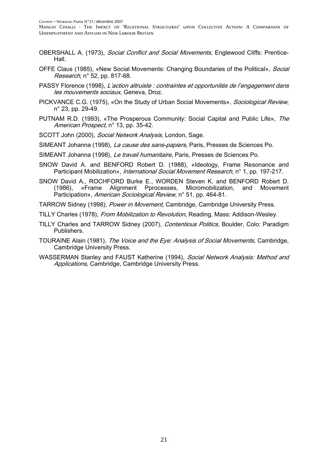- OBERSHALL A. (1973), Social Conflict and Social Movements, Englewood Cliffs: Prentice-Hall.
- OFFE Claus (1985), «New Social Movements: Changing Boundaries of the Political», Social Research, n° 52, pp. 817-68.
- PASSY Florence (1998), L'action altruiste : contraintes et opportunités de l'engagement dans les mouvements sociaux, Geneva, Droz.
- PICKVANCE C.G. (1975), «On the Study of Urban Social Movements», Sociological Review, n° 23, pp. 29-49.
- PUTNAM R.D. (1993), «The Prosperous Community: Social Capital and Public Life», The American Prospect, n° 13, pp. 35-42.
- SCOTT John (2000), Social Network Analysis, London, Sage.
- SIMEANT Johanna (1998), La cause des sans-papiers, Paris, Presses de Sciences Po.
- SIMEANT Johanna (1998), Le travail humanitaire, Paris, Presses de Sciences Po.
- SNOW David A. and BENFORD Robert D. (1988), «Ideology, Frame Resonance and Participant Mobilization», *International Social Movement Research*, n° 1, pp. 197-217.
- SNOW David A., ROCHFORD Burke E., WORDEN Steven K. and BENFORD Robert D. (1986), «Frame Alignment Pprocesses, Micromobilization, and Movement Participation», American Sociological Review, n° 51, pp. 464-81.
- TARROW Sidney (1998), Power in Movement, Cambridge, Cambridge University Press.
- TILLY Charles (1978), From Mobilization to Revolution, Reading, Mass: Addison-Wesley.
- TILLY Charles and TARROW Sidney (2007), Contentious Politics, Boulder, Colo: Paradigm Publishers.
- TOURAINE Alain (1981), The Voice and the Eye: Analysis of Social Movements, Cambridge, Cambridge University Press.
- WASSERMAN Stanley and FAUST Katherine (1994), Social Network Analysis: Method and Applications, Cambridge, Cambridge University Press.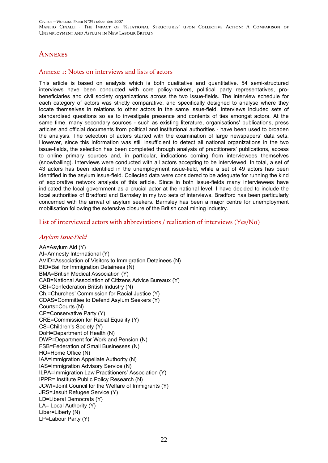### **ANNEXES**

#### Annexe 1: Notes on interviews and lists of actors

This article is based on analysis which is both qualitative and quantitative. 54 semi-structured interviews have been conducted with core policy-makers, political party representatives, probeneficiaries and civil society organizations across the two issue-fields. The interview schedule for each category of actors was strictly comparative, and specifically designed to analyse where they locate themselves in relations to other actors in the same issue-field. Interviews included sets of standardised questions so as to investigate presence and contents of ties amongst actors. At the same time, many secondary sources - such as existing literature, organisations' publications, press articles and official documents from political and institutional authorities - have been used to broaden the analysis. The selection of actors started with the examination of large newspapers' data sets. However, since this information was still insufficient to detect all national organizations in the two issue-fields, the selection has been completed through analysis of practitioners' publications, access to online primary sources and, in particular, indications coming from interviewees themselves (snowballing). Interviews were conducted with all actors accepting to be interviewed. In total, a set of 43 actors has been identified in the unemployment issue-field, while a set of 49 actors has been identified in the asylum issue-field. Collected data were considered to be adequate for running the kind of explorative network analysis of this article. Since in both issue-fields many interviewees have indicated the local government as a crucial actor at the national level, I have decided to include the local authorities of Bradford and Barnsley in my two sets of interviews. Bradford has been particularly concerned with the arrival of asylum seekers. Barnsley has been a major centre for unemployment mobilisation following the extensive closure of the British coal mining industry.

#### List of interviewed actors with abbreviations / realization of interviews (Yes/No)

#### Asylum Issue-Field

AA=Asylum Aid (Y) AI=Amnesty International (Y) AVID=Association of Visitors to Immigration Detainees (N) BID=Bail for Immigration Detainees (N) BMA=British Medical Association (Y) CAB=National Association of Citizens Advice Bureaux (Y) CBI=Confederation British Industry (N) Ch.=Churches' Commission for Racial Justice (Y) CDAS=Committee to Defend Asylum Seekers (Y) Courts=Courts (N) CP=Conservative Party (Y) CRE=Commission for Racial Equality (Y) CS=Children's Society (Y) DoH=Department of Health (N) DWP=Department for Work and Pension (N) FSB=Federation of Small Businesses (N) HO=Home Office (N) IAA=Immigration Appellate Authority (N) IAS=Immigration Advisory Service (N) ILPA=Immigration Law Practitioners' Association (Y) IPPR= Institute Public Policy Research (N) JCWI=Joint Council for the Welfare of Immigrants (Y) JRS=Jesuit Refugee Service (Y) LD=Liberal Democrats (Y) LA= Local Authority (Y) Liber=Liberty (N) LP=Labour Party (Y)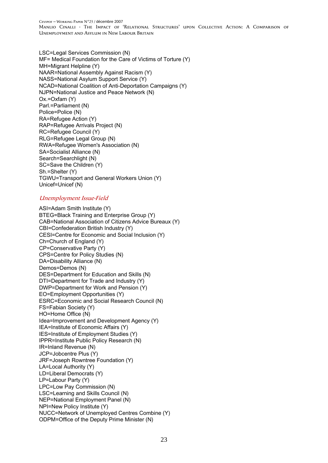CEVIPOF -- WORKING PAPER N°23 / décembre 2007

Manlio Cinalli - The Impact of 'Relational Structures' upon Collective Action: A Comparison of Unemployment and Asylum in New Labour Britain

LSC=Legal Services Commission (N) MF= Medical Foundation for the Care of Victims of Torture (Y) MH=Migrant Helpline (Y) NAAR=National Assembly Against Racism (Y) NASS=National Asylum Support Service (Y) NCAD=National Coalition of Anti-Deportation Campaigns (Y) NJPN=National Justice and Peace Network (N) Ox.=Oxfam (Y) Parl.=Parliament (N) Police=Police (N) RA=Refugee Action (Y) RAP=Refugee Arrivals Project (N) RC=Refugee Council (Y) RLG=Refugee Legal Group (N) RWA=Refugee Women's Association (N) SA=Socialist Alliance (N) Search=Searchlight (N) SC=Save the Children (Y) Sh.=Shelter (Y) TGWU=Transport and General Workers Union (Y) Unicef=Unicef (N)

#### Unemployment Issue-Field

ASI=Adam Smith Institute (Y) BTEG=Black Training and Enterprise Group (Y) CAB=National Association of Citizens Advice Bureaux (Y) CBI=Confederation British Industry (Y) CESI=Centre for Economic and Social Inclusion (Y) Ch=Church of England (Y) CP=Conservative Party (Y) CPS=Centre for Policy Studies (N) DA=Disability Alliance (N) Demos=Demos (N) DES=Department for Education and Skills (N) DTI=Department for Trade and Industry (Y) DWP=Department for Work and Pension (Y) EO=Employment Opportunities (Y) ESRC=Economic and Social Research Council (N) FS=Fabian Society (Y) HO=Home Office (N) Idea=Improvement and Development Agency (Y) IEA=Institute of Economic Affairs (Y) IES=Institute of Employment Studies (Y) IPPR=Institute Public Policy Research (N) IR=Inland Revenue (N) JCP=Jobcentre Plus (Y) JRF=Joseph Rowntree Foundation (Y) LA=Local Authority (Y) LD=Liberal Democrats (Y) LP=Labour Party (Y) LPC=Low Pay Commission (N) LSC=Learning and Skills Council (N) NEP=National Employment Panel (N) NPI=New Policy Institute (Y) NUCC=Network of Unemployed Centres Combine (Y) ODPM=Office of the Deputy Prime Minister (N)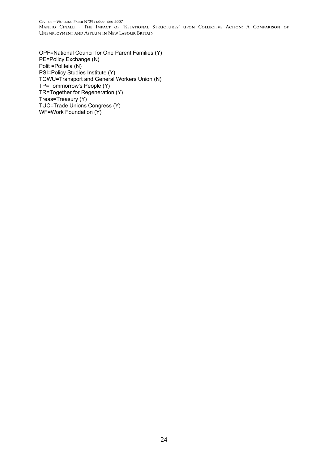#### CEVIPOF -- WORKING PAPER N°23 / décembre 2007

Manlio Cinalli - The Impact of 'Relational Structures' upon Collective Action: A Comparison of Unemployment and Asylum in New Labour Britain

OPF=National Council for One Parent Families (Y) PE=Policy Exchange (N) Polit =Politeia (N) PSI=Policy Studies Institute (Y) TGWU=Transport and General Workers Union (N) TP=Tommorrow's People (Y) TR=Together for Regeneration (Y) Treas=Treasury (Y) TUC=Trade Unions Congress (Y) WF=Work Foundation (Y)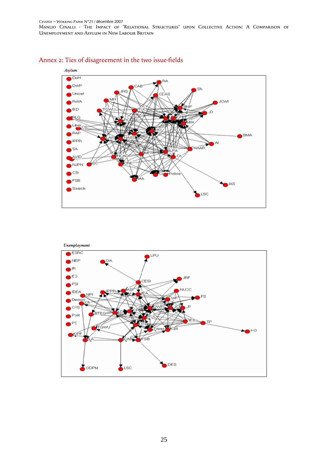### Annex 2: Ties of disagreement in the two issue-fields



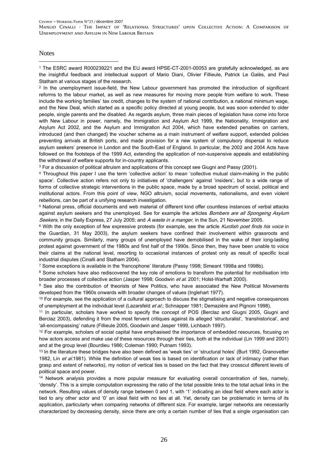**Notes** 

1

1 The ESRC award R000239221 and the EU award HPSE-CT-2001-00053 are gratefully acknowledged, as are the insightful feedback and intellectual support of Mario Diani, Olivier Fillieule, Patrick Le Galès, and Paul Statham at various stages of the research.

2 In the unemployment issue-field, the New Labour government has promoted the introduction of significant reforms to the labour market, as well as new measures for moving more people from welfare to work. These include the working families' tax credit, changes to the system of national contribution, a national minimum wage, and the New Deal, which started as a specific policy directed at young people, but was soon extended to older people, single parents and the disabled. As regards asylum, three main pieces of legislation have come into force with New Labour in power, namely, the Immigration and Asylum Act 1999, the Nationality, Immigration and Asylum Act 2002, and the Asylum and Immigration Act 2004, which have extended penalties on carriers, introduced (and then changed) the voucher scheme as a main instrument of welfare support, extended policies preventing arrivals at British ports, and made provision for a new system of compulsory dispersal to reduce asylum seekers' presence in London and the South-East of England. In particular, the 2002 and 2004 Acts have followed on the footsteps of the 1999 Act, extending the application of non-suspensive appeals and establishing the withdrawal of welfare supports for in-country applicants.

3 For a discussion of political altruism and applications of this concept see Giugni and Passy (2001).

4 Throughout this paper I use the term 'collective action' to mean 'collective mutual claim-making in the public space'. Collective action refers not only to initiatives of 'challengers' against 'insiders', but to a wide range of forms of collective strategic interventions in the public space, made by a broad spectrum of social, political and institutional actors. From this point of view, NGO altruism, social movements, nationalisms, and even violent rebellions, can be part of a unifying research investigation.

5 National press, official documents and web material of different kind offer countless instances of verbal attacks against asylum seekers and the unemployed. See for example the articles Bombers are all Spongeing Asylum Seekers, in the Daily Express, 27 July 2005; and A waste in a manger, in the Sun, 21 November 2005.

<sup>6</sup> With the only exception of few expressive protests (for example, see the article Kurdish poet finds his voice in the Guardian, 31 May 2003), the asylum seekers have confined their involvement within grassroots and community groups. Similarly, many groups of unemployed have demobilised in the wake of their long-lasting protest against government of the 1980s and first half of the 1990s. Since then, they have been unable to voice their claims at the national level, resorting to occasional instances of protest only as result of specific local industrial disputes (Cinalli and Statham 2004).

7 Some exceptions is available in the 'francophone' literature (Passy 1998; Simeant 1998a and 1998b).

<sup>8</sup> Some scholars have also rediscovered the key role of emotions to transform the potential for mobilisation into broader processes of collective action (Jasper 1998; Goodwin et al. 2001; Holst-Warhaft 2000).

<sup>9</sup> See also the contribution of theorists of New Politics, who have associated the New Political Movements developed from the 1960s onwards with broader changes of values (Inglehart 1977).

<sup>10</sup> For example, see the application of a cultural approach to discuss the stigmatising and negative consequences of unemployment at the individual level (Lazarsfeld et al.; Schnapper 1981; Demazière and Pignoni 1998).

11 In particular, scholars have worked to specify the concept of POS (Berclaz and Giugni 2005, Giugni and Berclaz 2003), defending it from the most fervent critiques against its alleged 'structuralist', 'transhistorical', and 'all-encompassing' nature (Fillieule 2005, Goodwin and Jasper 1999, Lichbach 1997).

<sup>12</sup> For example, scholars of social capital have emphasised the importance of embedded resources, focusing on how actors access and make use of these resources through their ties, both at the individual (Lin 1999 and 2001) and at the group level (Bourdieu 1986; Coleman 1990; Putnam 1993).

<sup>13</sup> In the literature these bridges have also been defined as 'weak ties' or 'structural holes' (Burt 1992, Granovetter 1982, Lin et al.1981). While the definition of weak ties is based on identification or lack of intimacy (rather than grasp and extent of networks), my notion of vertical ties is based on the fact that they crosscut different levels of political space and power.

14 Network analysis provides a more popular measure for evaluating overall concentration of ties, namely, 'density'. This is a simple computation expressing the ratio of the total possible links to the total actual links in the network. Resulting values of density range between 0 and 1, with '1' indicating an ideal field where each actor is tied to any other actor and '0' an ideal field with no ties at all. Yet, density can be problematic in terms of its application, particularly when comparing networks of different size. For example, larger networks are necessarily characterized by decreasing density, since there are only a certain number of ties that a single organisation can